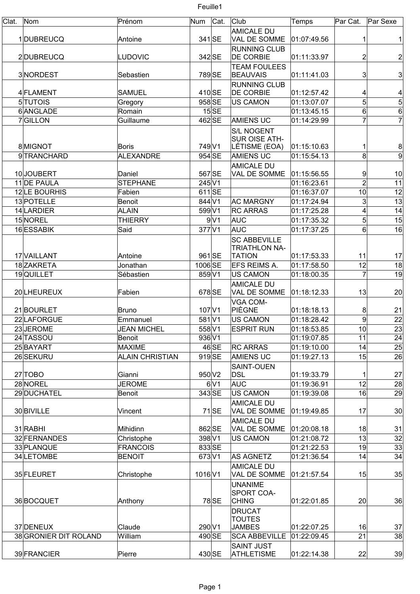| Clat. | Nom                   | Prénom                 | Num        | Cat.           | Club                                    | Temps       | Par Cat.        | Par Sexe       |
|-------|-----------------------|------------------------|------------|----------------|-----------------------------------------|-------------|-----------------|----------------|
|       |                       |                        |            |                | <b>AMICALE DU</b>                       |             |                 |                |
|       | 1DUBREUCQ             | Antoine                | 341 SE     |                | VAL DE SOMME                            | 01:07:49.56 | 1               | 1              |
|       | 2DUBREUCQ             | <b>LUDOVIC</b>         | 342 SE     |                | <b>RUNNING CLUB</b><br><b>DE CORBIE</b> | 01:11:33.97 | 2               | $\mathbf{2}$   |
|       |                       |                        |            |                | <b>TEAM FOULEES</b>                     |             |                 |                |
|       | 3NORDEST              | Sebastien              | 789 SE     |                | <b>BEAUVAIS</b>                         | 01:11:41.03 | 3               | $\mathbf{3}$   |
|       |                       |                        |            |                | <b>RUNNING CLUB</b>                     |             |                 |                |
|       | 4 FLAMENT             | <b>SAMUEL</b>          | 410 SE     |                | <b>DE CORBIE</b>                        | 01:12:57.42 | 4               | 4              |
|       | 5 TUTOIS              | Gregory                | 958 SE     |                | <b>US CAMON</b>                         | 01:13:07.07 | 5               | $\overline{5}$ |
|       | 6ANGLADE              | Romain                 |            | $15$ SE        |                                         | 01:13:45.15 | $6 \mid$        | $\overline{6}$ |
|       | 7GILLON               | Guillaume              | 462 SE     |                | <b>AMIENS UC</b>                        | 01:14:29.99 | 7               | $\overline{7}$ |
|       |                       |                        |            |                | <b>S/L NOGENT</b>                       |             |                 |                |
|       |                       |                        |            |                | <b>SUR OISE ATH-</b>                    |             |                 |                |
|       | 8MIGNOT               | <b>Boris</b>           | 749 V1     |                | LÉTISME (EOA)                           | 01:15:10.63 |                 | 8              |
|       | 9TRANCHARD            | <b>ALEXANDRE</b>       | 954 SE     |                | <b>AMIENS UC</b>                        | 01:15:54.13 | 8               | $\overline{9}$ |
|       |                       |                        |            |                | <b>AMICALE DU</b>                       |             |                 |                |
|       | 10JOUBERT             | Daniel                 | 567 SE     |                | VAL DE SOMME                            | 01:15:56.55 | 9               | 10             |
|       | 11 DE PAULA           | <b>STEPHANE</b>        | $245$ V1   |                |                                         | 01:16:23.61 | $\overline{2}$  | 11             |
|       | 12LE BOURHIS          | Fabien                 | $611$ SE   |                |                                         | 01:16:37.07 | 10              | 12             |
|       | 13 POTELLE            | Benoit                 | 844 V1     |                | <b>AC MARGNY</b>                        | 01:17:24.94 | $\overline{3}$  | 13             |
|       | 14 LARDIER            | <b>ALAIN</b>           | 599 V1     |                | <b>RC ARRAS</b>                         | 01:17:25.28 | 4               | 14             |
|       | 15 NOREL              | <b>THIERRY</b>         |            | 9 <sub>1</sub> | AUC                                     | 01:17:35.32 | 5               | 15             |
|       | 16 ESSABIK            | Said                   | 377 V1     |                | AUC                                     | 01:17:37.25 | 6               | 16             |
|       |                       |                        |            |                | <b>SC ABBEVILLE</b>                     |             |                 |                |
|       |                       |                        |            |                | <b>TRIATHLON NA-</b>                    |             |                 |                |
|       | 17 VAILLANT           | Antoine                | 961 SE     |                | <b>TATION</b>                           | 01:17:53.33 | 11              | 17             |
|       | 18ZAKRETA             | Jonathan               | 1006 SE    |                | <b>EFS REIMS A.</b>                     | 01:17:58.50 | 12              | 18             |
|       | 19QUILLET             | Sébastien              | 859 V1     |                | <b>US CAMON</b>                         | 01:18:00.35 | $\overline{7}$  | 19             |
|       |                       |                        |            |                | <b>AMICALE DU</b>                       |             |                 |                |
|       | 20 LHEUREUX           | Fabien                 | 678 SE     |                | VAL DE SOMME                            | 01:18:12.33 | 13              | 20             |
|       |                       |                        |            |                | VGA COM-                                |             |                 |                |
|       | 21BOURLET             | <b>Bruno</b>           | $107$ $V1$ |                | PIÈGNE                                  | 01:18:18.13 | 8               | 21             |
|       | 22 LAFORGUE           | Emmanuel               | 581 V1     |                | US CAMON                                | 01:18:28.42 | 9               | 22             |
|       | 23JEROME              | <b>JEAN MICHEL</b>     | 558 V1     |                | <b>ESPRIT RUN</b>                       | 01:18:53.85 | 10 <sup>1</sup> | 23             |
|       | 24 TASSOU             | Benoit                 | 936 V1     |                |                                         | 01:19:07.85 | 11              | 24             |
|       | 25BAYART              | <b>MAXIME</b>          |            | 46 SE          | <b>RC ARRAS</b>                         | 01:19:10.00 | 14              | 25             |
|       | 26 SEKURU             | <b>ALAIN CHRISTIAN</b> | 919SE      |                | <b>AMIENS UC</b>                        | 01:19:27.13 | 15              | 26             |
|       |                       |                        |            |                | <b>SAINT-OUEN</b>                       |             |                 |                |
|       | 27 TOBO               | Gianni                 | 950 V2     |                | <b>DSL</b>                              | 01:19:33.79 |                 | 27             |
|       | 28 NOREL              | <b>JEROME</b>          |            | 6 V1           | AUC                                     | 01:19:36.91 | 12              | 28             |
|       | 29 DUCHATEL           | Benoit                 | 343 SE     |                | <b>US CAMON</b>                         | 01:19:39.08 | 16              | 29             |
|       | 30 BIVILLE            | Vincent                |            | $71$ SE        | <b>AMICALE DU</b><br>VAL DE SOMME       | 01:19:49.85 | 17              | 30             |
|       |                       |                        |            |                |                                         |             |                 |                |
|       | 31 RABHI              | Mihidinn               | 862 SE     |                | <b>AMICALE DU</b><br>VAL DE SOMME       | 01:20:08.18 | 18              | 31             |
|       | 32 FERNANDES          | Christophe             | 398 V1     |                | <b>US CAMON</b>                         | 01:21:08.72 | 13              | 32             |
|       | 33 PLANQUE            | <b>FRANCOIS</b>        | 833 SE     |                |                                         | 01:21:22.53 | 19              | 33             |
|       | 34 LETOMBE            | <b>BENOIT</b>          | 673 V1     |                | <b>AS AGNETZ</b>                        | 01:21:36.54 | 14              | 34             |
|       |                       |                        |            |                | <b>AMICALE DU</b>                       |             |                 |                |
|       | 35 FLEURET            | Christophe             | 1016 V1    |                | VAL DE SOMME                            | 01:21:57.54 | 15              | 35             |
|       |                       |                        |            |                | <b>UNANIME</b>                          |             |                 |                |
|       |                       |                        |            |                | SPORT COA-                              |             |                 |                |
|       | 36BOCQUET             | Anthony                |            | 78 SE          | <b>CHING</b>                            | 01:22:01.85 | 20              | 36             |
|       |                       |                        |            |                | <b>DRUCAT</b>                           |             |                 |                |
|       |                       |                        |            |                | <b>TOUTES</b>                           |             |                 |                |
|       | 37 DENEUX             | Claude                 | 290 V1     |                | <b>JAMBES</b>                           | 01:22:07.25 | 16              | 37             |
|       | 38 GRONIER DIT ROLAND | William                | 490 SE     |                | <b>SCA ABBEVILLE</b>                    | 01:22:09.45 | 21              | 38             |
|       |                       |                        |            |                | <b>SAINT JUST</b>                       |             |                 |                |
|       | 39 FRANCIER           | Pierre                 | 430 SE     |                | <b>ATHLETISME</b>                       | 01:22:14.38 | 22              | 39             |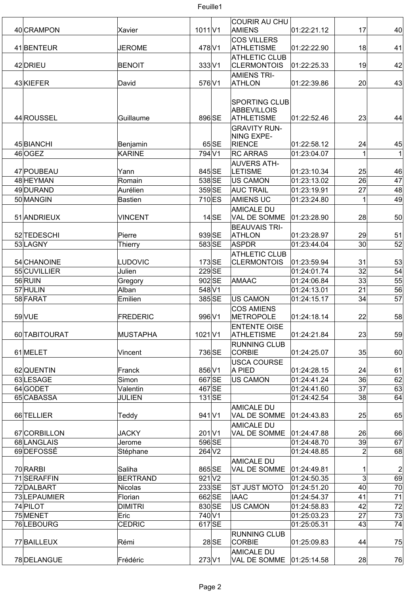

| 40 CRAMPON    |                 |                   |         | <b>COURIR AU CHU</b>                       | 01:22:21.12 |                 | 40 <sup>°</sup> |
|---------------|-----------------|-------------------|---------|--------------------------------------------|-------------|-----------------|-----------------|
|               | Xavier          | 1011 V1           |         | AMIENS                                     |             | 17              |                 |
| 41 BENTEUR    | JEROME          | 478 V1            |         | <b>COS VILLERS</b><br><b>ATHLETISME</b>    | 01:22:22.90 | 18              | 41              |
|               |                 |                   |         | <b>ATHLETIC CLUB</b>                       |             |                 |                 |
| 42 DRIEU      | <b>BENOIT</b>   | 333 V1            |         | <b>CLERMONTOIS</b>                         | 01:22:25.33 | 19              | 42              |
|               |                 |                   |         | <b>AMIENS TRI-</b>                         |             |                 |                 |
| 43KIEFER      | David           | 576 V1            |         | <b>ATHLON</b>                              | 01:22:39.86 | 20 <sup>2</sup> | 43              |
|               |                 |                   |         | <b>SPORTING CLUB</b><br><b>ABBEVILLOIS</b> |             |                 |                 |
| 44 ROUSSEL    | Guillaume       | 896 SE            |         | <b>ATHLETISME</b>                          | 01:22:52.46 | 23              | 44              |
|               |                 |                   |         | <b>GRAVITY RUN-</b>                        |             |                 |                 |
| 45 BIANCHI    | Benjamin        |                   | 65 SE   | NING EXPE-<br><b>RIENCE</b>                | 01:22:58.12 | 24              | 45              |
| 46 OGEZ       | <b>KARINE</b>   | 794 V1            |         | <b>RC ARRAS</b>                            | 01:23:04.07 |                 | 1               |
|               |                 |                   |         | <b>AUVERS ATH-</b>                         |             |                 |                 |
| 47 POUBEAU    | Yann            | 845 SE            |         | <b>LETISME</b>                             | 01:23:10.34 | 25              | 46              |
| 48 HEYMAN     | Romain          | 538 SE            |         | US CAMON                                   | 01:23:13.02 | 26              | 47              |
| 49 DURAND     | Aurélien        | 359 SE            |         | <b>AUC TRAIL</b>                           | 01:23:19.91 | 27              | 48              |
| 50 MANGIN     | Bastien         | 710 <sub>ES</sub> |         | <b>AMIENS UC</b>                           | 01:23:24.80 | 1               | 49              |
|               |                 |                   |         | <b>AMICALE DU</b>                          |             |                 |                 |
| 51 ANDRIEUX   | <b>VINCENT</b>  |                   | $14$ SE | VAL DE SOMME                               | 01:23:28.90 | 28              | 50              |
|               |                 |                   |         | <b>BEAUVAIS TRI-</b>                       |             |                 |                 |
| 52 TEDESCHI   | Pierre          | 939 SE            |         | <b>ATHLON</b>                              | 01:23:28.97 | 29              | 51              |
| 53 LAGNY      | Thierry         | 583 SE            |         | ASPDR                                      | 01:23:44.04 | 30 <sup>°</sup> | 52              |
| 54 CHANOINE   | <b>LUDOVIC</b>  | $173$ SE          |         | <b>ATHLETIC CLUB</b><br><b>CLERMONTOIS</b> | 01:23:59.94 | 31              | 53              |
| 55 CUVILLIER  | Julien          | 229 <sub>SE</sub> |         |                                            | 01:24:01.74 | 32              | 54              |
| 56 RUIN       | Gregory         | 902 SE            |         | AMAAC                                      | 01:24:06.84 | 33              | $\overline{55}$ |
| 57 HULIN      | Alban           | 548 V1            |         |                                            | 01:24:13.01 | 21              | 56              |
| 58 FARAT      | Emilien         | 385 SE            |         | <b>US CAMON</b>                            | 01:24:15.17 | 34              | 57              |
|               |                 |                   |         | <b>COS AMIENS</b>                          |             |                 |                 |
| 59 VUE        | FREDERIC        | 996 V1            |         | <b>METROPOLE</b>                           | 01:24:18.14 | 22              | 58              |
|               |                 |                   |         | <b>ENTENTE OISE</b>                        |             |                 |                 |
| 60 TABITOURAT | MUSTAPHA        | $1021$ V1         |         | <b>ATHLETISME</b>                          | 01:24:21.84 | 23              | 59              |
|               |                 |                   |         | <b>RUNNING CLUB</b>                        |             |                 |                 |
| 61 MELET      | Vincent         | 736 SE            |         | <b>CORBIE</b>                              | 01:24:25.07 | 35              | 60              |
|               |                 |                   |         | <b>USCA COURSE</b>                         |             |                 |                 |
| 62 QUENTIN    | Franck          | 856 V1            |         | A PIED                                     | 01:24:28.15 | 24              | 61              |
| 63LESAGE      | Simon           | 667 SE            |         | US CAMON                                   | 01:24:41.24 | 36              | 62              |
| 64 GODET      | Valentin        | 467 SE            |         |                                            | 01:24:41.60 | $\overline{37}$ | 63              |
| 65 CABASSA    | <b>JULIEN</b>   | $131$ SE          |         |                                            | 01:24:42.54 | 38              | 64              |
| 66 TELLIER    | Teddy           | 941 V1            |         | <b>AMICALE DU</b><br>VAL DE SOMME          | 01:24:43.83 | 25              | 65              |
|               |                 |                   |         | <b>AMICALE DU</b>                          |             |                 |                 |
| 67 CORBILLON  | <b>JACKY</b>    | 201 V1            |         | VAL DE SOMME                               | 01:24:47.88 | 26              | 66              |
| 68 LANGLAIS   | Jerome          | 596 SE            |         |                                            | 01:24:48.70 | 39              | 67              |
| 69DEFOSSÉ     | Stéphane        | $264$ V2          |         |                                            | 01:24:48.85 | $\overline{2}$  | 68              |
| 70 RARBI      | Saliha          | 865 SE            |         | <b>AMICALE DU</b><br>VAL DE SOMME          | 01:24:49.81 |                 | $\mathbf{2}$    |
| 71SERAFFIN    | <b>BERTRAND</b> | $921$ $V2$        |         |                                            | 01:24:50.35 | $\overline{3}$  | 69              |
| 72 DALBART    | Nicolas         | 233SE             |         | ST JUST MOTO                               | 01:24:51.20 | 40 <sup>°</sup> | 70              |
| 73 LEPAUMIER  | Florian         | 662 SE            |         | <b>IAAC</b>                                | 01:24:54.37 | 41              | 71              |
| 74 PILOT      | <b>DIMITRI</b>  | 830 SE            |         | <b>US CAMON</b>                            | 01:24:58.83 | 42              | 72              |
| 75 MENET      | Eric            | 740 V1            |         |                                            | 01:25:03.23 | 27              | 73              |
| 76LEBOURG     | <b>CEDRIC</b>   | 617 SE            |         |                                            | 01:25:05.31 | 43              | 74              |
| 77 BAILLEUX   | Rémi            |                   | $28$ SE | <b>RUNNING CLUB</b><br><b>CORBIE</b>       | 01:25:09.83 | 44              | 75              |
|               |                 |                   |         | <b>AMICALE DU</b>                          |             |                 |                 |
| 78 DELANGUE   | Frédéric        | $273$ $V1$        |         | VAL DE SOMME                               | 01:25:14.58 | 28              | 76              |

 $\mathbf{I}$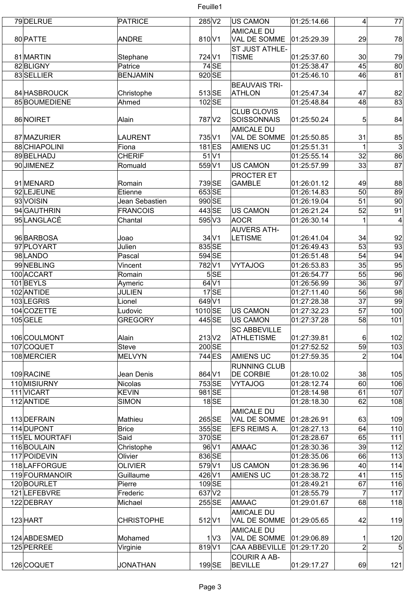| 79 DELRUE                     | <b>PATRICE</b>           | 285 V2              |                          | US CAMON                                 | 01:25:14.66                | 4               | 77              |
|-------------------------------|--------------------------|---------------------|--------------------------|------------------------------------------|----------------------------|-----------------|-----------------|
|                               |                          |                     |                          | <b>AMICALE DU</b>                        |                            |                 |                 |
| 80 PATTE                      | <b>ANDRE</b>             | 810 V1              |                          | <b>VAL DE SOMME</b>                      | 01:25:29.39                | 29              | 78              |
|                               |                          |                     |                          | <b>ST JUST ATHLE-</b>                    |                            |                 |                 |
| 81 MARTIN<br>82BLIGNY         | Stephane<br>Patrice      | 724 <sub>V1</sub>   | $74$ SE                  | <b>TISME</b>                             | 01:25:37.60<br>01:25:38.47 | $30$<br>45      | 79<br>80        |
| 83 SELLIER                    | <b>BENJAMIN</b>          | 920 SE              |                          |                                          | 01:25:46.10                | 46              | 81              |
|                               |                          |                     |                          | <b>BEAUVAIS TRI-</b>                     |                            |                 |                 |
| 84 HASBROUCK                  | Christophe               | 513SE               |                          | <b>ATHLON</b>                            | 01:25:47.34                | 47              | 82              |
| 85 BOUMEDIENE                 | Ahmed                    | $102$ SE            |                          |                                          | 01:25:48.84                | 48              | 83              |
|                               |                          |                     |                          | <b>CLUB CLOVIS</b>                       |                            |                 |                 |
| 86 NOIRET                     | Alain                    | 787 V2              |                          | SOISSONNAIS                              | 01:25:50.24                | 5               | 84              |
|                               |                          |                     |                          | <b>AMICALE DU</b>                        |                            |                 |                 |
| 87 MAZURIER                   | <b>LAURENT</b>           | 735 V1              |                          | <b>VAL DE SOMME</b>                      | 01:25:50.85                | 31              | 85              |
| 88 CHIAPOLINI                 | Fiona                    | $181$ <sub>ES</sub> |                          | <b>AMIENS UC</b>                         | 01:25:51.31                |                 | $\mathbf{3}$    |
| 89BELHADJ                     | <b>CHERIF</b>            |                     | $51$ $V1$                |                                          | 01:25:55.14                | 32              | 86              |
| 90JIMENEZ                     | Romuald                  | 559 V1              |                          | US CAMON                                 | 01:25:57.99                | 33              | 87              |
|                               |                          |                     |                          | <b>PROCTER ET</b>                        |                            |                 |                 |
| 91 MENARD                     | Romain                   | 739 SE              |                          | <b>GAMBLE</b>                            | 01:26:01.12                | 49              | 88              |
| 92 LEJEUNE                    | Etienne                  | 653SE               |                          |                                          | 01:26:14.83                | 50              | 89              |
| 93 VOISIN                     | Jean Sebastien           | 990 SE              |                          |                                          | 01:26:19.04                | 51              | 90              |
| 94 GAUTHRIN                   | <b>FRANCOIS</b>          | 443 SE              |                          | US CAMON                                 | 01:26:21.24                | 52              | 91              |
| 95LANGLACÉ                    | Chantal                  | 595 V3              |                          | AOCR                                     | 01:26:30.14                | 1               | $\overline{4}$  |
|                               |                          |                     |                          |                                          |                            |                 |                 |
| 96 BARBOSA                    | Joao                     |                     | $34$ V1                  | <b>AUVERS ATH-</b><br><b>LETISME</b>     | 01:26:41.04                | 34              | 92              |
| 97 PLOYART                    | Julien                   | 835 SE              |                          |                                          | 01:26:49.43                | 53              | 93              |
| 98 LANDO                      | Pascal                   | 594 SE              |                          |                                          | 01:26:51.48                | 54              | 94              |
| 99NEBLING                     | Vincent                  | 782V1               |                          | <b>VYTAJOG</b>                           | 01:26:53.83                | 35              | 95              |
| 100 ACCART                    | Romain                   |                     | 5SE                      |                                          | 01:26:54.77                | 55              | 96              |
| 101 BEYLS                     |                          |                     | $64$ V1                  |                                          | 01:26:56.99                | 36              | $\overline{97}$ |
| 102 ANTIDE                    | Aymeric<br><b>JULIEN</b> |                     | $17$ SE                  |                                          | 01:27:11.40                | 56              | 98              |
| 103LEGRIS                     | Lionel                   | 649 V1              |                          |                                          | 01:27:28.38                | $\overline{37}$ | 99              |
|                               |                          |                     |                          |                                          |                            |                 |                 |
| 104 COZETTE                   | Ludovic                  | 1010SE              |                          | US CAMON                                 | 01:27:32.23                | 57              | 100             |
| $105$ GELE                    | <b>GREGORY</b>           | 445 SE              |                          | US CAMON                                 | 01:27:37.28                | 58              | 101             |
| 106 COULMONT                  |                          |                     |                          | <b>SC ABBEVILLE</b>                      |                            |                 |                 |
| 107 COQUET                    | Alain<br><b>Steve</b>    | 213 V2<br>200 SE    |                          | <b>ATHLETISME</b>                        | 01:27:39.81<br>01:27:52.52 | $6 \mid$<br>59  | 102<br>103      |
| 108 MERCIER                   |                          | 744 ES              |                          |                                          | 01:27:59.35                | $\overline{2}$  |                 |
|                               | <b>MELVYN</b>            |                     |                          | <b>AMIENS UC</b>                         |                            |                 | 104             |
| 109 RACINE                    | Jean Denis               | 864 V1              |                          | <b>RUNNING CLUB</b><br><b>DE CORBIE</b>  | 01:28:10.02                | 38              | 105             |
|                               |                          | 753 SE              |                          | <b>VYTAJOG</b>                           | 01:28:12.74                |                 |                 |
| 110 MISIURNY                  | <b>Nicolas</b>           |                     |                          |                                          |                            | 60              | 106             |
| 111 VICART                    | <b>KEVIN</b>             | 981 SE              | $18\overline{\text{SE}}$ |                                          | 01:28:14.98                | 61<br>62        | 107             |
| 112 ANTIDE                    | <b>SIMON</b>             |                     |                          |                                          | 01:28:18.30                |                 | 108             |
| 113 DEFRAIN                   | Mathieu                  | 265 SE              |                          | <b>AMICALE DU</b><br>VAL DE SOMME        | 01:28:26.91                | 63              | 109             |
| 114 DUPONT                    | <b>Brice</b>             | 355 SE              |                          | EFS REIMS A.                             | 01:28:27.13                | 64              | 110             |
|                               |                          |                     |                          |                                          |                            |                 |                 |
| 115 EL MOURTAFI<br>116BOULAIN | Said<br>Christophe       | 370 SE              | 96 V1                    | AMAAC                                    | 01:28:28.67<br>01:28:30.36 | 65<br>39        | 111<br>112      |
| 117 POIDEVIN                  | Olivier                  | 836 SE              |                          |                                          | 01:28:35.06                | 66              | 113             |
|                               |                          |                     |                          |                                          |                            |                 |                 |
| 118 LAFFORGUE                 | <b>OLIVIER</b>           | 579 V1<br>426 V1    |                          | US CAMON                                 | 01:28:36.96                | 40              | 114             |
| 119 FOURMANOIR                | Guillaume                |                     |                          | <b>AMIENS UC</b>                         | 01:28:38.72                | 41              | 115             |
| 120 BOURLET                   | Pierre                   | 109SE               |                          |                                          | 01:28:49.21                | 67<br>7         | 116             |
| 121 LEFEBVRE                  | Frederic                 | 637 V2              |                          |                                          | 01:28:55.79                |                 | 117             |
| 122 DEBRAY                    | Michael                  | 255 SE              |                          | AMAAC                                    | 01:29:01.67                | 68              | 118             |
|                               |                          |                     |                          | <b>AMICALE DU</b>                        |                            |                 |                 |
| 123 HART                      | <b>CHRISTOPHE</b>        | 512 V1              |                          | VAL DE SOMME                             | 01:29:05.65                | 42              | 119             |
| 124 ABDESMED                  | Mohamed                  |                     | 1 <sup>1</sup>           | <b>AMICALE DU</b><br><b>VAL DE SOMME</b> | 01:29:06.89                |                 | 120             |
|                               |                          | 819 V1              |                          |                                          |                            |                 |                 |
| 125 PERREE                    | Virginie                 |                     |                          | <b>CAA ABBEVILLE</b>                     | 01:29:17.20                | $\mathbf{2}$    | 5 <sup>5</sup>  |
| 126 COQUET                    | <b>JONATHAN</b>          | $199$ SE            |                          | COURIR A AB-<br><b>BEVILLE</b>           | 01:29:17.27                | 69              | 121             |
|                               |                          |                     |                          |                                          |                            |                 |                 |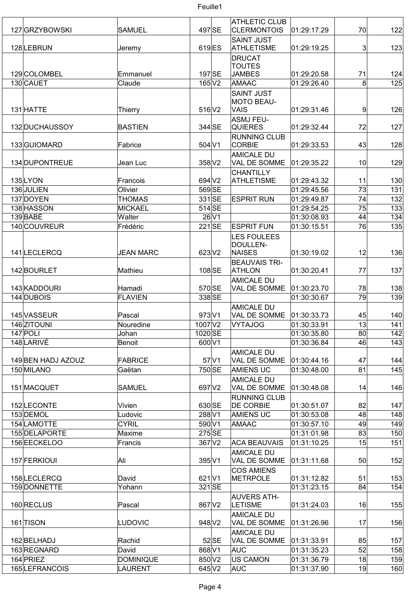| 127 GRZYBOWSKI          | <b>SAMUEL</b>    |                   | 497 SE         | <b>ATHLETIC CLUB</b><br><b>CLERMONTOIS</b> | 01:29:17.29                | 70              | 122        |
|-------------------------|------------------|-------------------|----------------|--------------------------------------------|----------------------------|-----------------|------------|
| 128 LEBRUN              |                  |                   | 619 ES         | <b>SAINT JUST</b><br><b>ATHLETISME</b>     | 01:29:19.25                | $\mathbf{3}$    | 123        |
|                         | Jeremy           |                   |                | <b>DRUCAT</b>                              |                            |                 |            |
|                         |                  |                   |                | <b>TOUTES</b>                              |                            |                 |            |
| 129 COLOMBEL            | Emmanuel         |                   | 197 SE         | <b>JAMBES</b>                              | 01:29:20.58                | 71              | 124        |
| 130 CAUET               | Claude           |                   | $165\text{V}2$ | AMAAC                                      | 01:29:26.40                | 8               | 125        |
|                         |                  |                   |                | <b>SAINT JUST</b>                          |                            |                 |            |
|                         |                  |                   |                | <b>MOTO BEAU-</b>                          |                            |                 |            |
| 131 HATTE               | Thierry          | 516 V2            |                | VAIS                                       | 01:29:31.46                | 9               | 126        |
| 132 DUCHAUSSOY          | <b>BASTIEN</b>   |                   | 344 SE         | ASMJ FEU-<br><b>QUIERES</b>                | 01:29:32.44                | 72              | 127        |
|                         |                  |                   |                | <b>RUNNING CLUB</b>                        |                            |                 |            |
| 133 GUIOMARD            | Fabrice          | 504 V1            |                | <b>CORBIE</b>                              | 01:29:33.53                | 43              | 128        |
|                         |                  |                   |                | <b>AMICALE DU</b>                          |                            |                 |            |
| 134 DUPONTREUE          | Jean Luc         | 358 V2            |                | VAL DE SOMME                               | 01:29:35.22                | 10              | 129        |
|                         |                  |                   |                | <b>CHANTILLY</b>                           |                            |                 |            |
| 135LYON                 | Francois         | 694 V2            |                | <b>ATHLETISME</b>                          | 01:29:43.32                | 11              | 130        |
| 136 JULIEN              | Olivier          |                   | 569 SE         |                                            | 01:29:45.56                | 73              | 131        |
| 137 DOYEN               | <b>THOMAS</b>    |                   | 331 SE         | <b>ESPRIT RUN</b>                          | 01:29:49.87                | 74              | 132        |
| 138 HASSON              | <b>MICKAEL</b>   | $514$ SE          |                |                                            | 01:29:54.25                | 75              | 133        |
| 139 BABE                | Walter           |                   | $26$ V1        |                                            | 01:30:08.93                | 44              | 134        |
| 140 COUVREUR            | Frédéric         |                   | $221$ SE       | <b>ESPRIT FUN</b>                          | 01:30:15.51                | 76              | 135        |
|                         |                  |                   |                | <b>LES FOULEES</b><br>DOULLEN-             |                            |                 |            |
| 141LECLERCQ             | <b>JEAN MARC</b> |                   | $623$ V2       | <b>NAISES</b>                              | 01:30:19.02                | 12              | 136        |
|                         |                  |                   |                | <b>BEAUVAIS TRI-</b>                       |                            |                 |            |
| 142BOURLET              | Mathieu          |                   | 108SE          | <b>ATHLON</b>                              | 01:30:20.41                | 77              | 137        |
|                         |                  |                   |                | <b>AMICALE DU</b>                          |                            |                 |            |
| 143 KADDOURI            | Hamadi           |                   | 570 SE         | VAL DE SOMME                               | 01:30:23.70                | 78              | 138        |
| 144 DUBOIS              | <b>FLAVIEN</b>   |                   | 338 SE         |                                            | 01:30:30.67                | $\overline{79}$ | 139        |
|                         |                  |                   |                | <b>AMICALE DU</b>                          |                            |                 |            |
| 145 VASSEUR             | Pascal           | 973 V1            |                | VAL DE SOMME                               | 01:30:33.73                | 45              | 140        |
| 146 ZITOUNI             | Nouredine        | 1007 V2           |                | <b>VYTAJOG</b>                             | 01:30:33.91                | 13              | 141        |
| $147$ POLI<br>148LARIVÉ | Johan<br>Benoit  | 1020 SE<br>600 V1 |                |                                            | 01:30:35.80<br>01:30:36.84 | 80<br>46        | 142<br>143 |
|                         |                  |                   |                | <b>AMICALE DU</b>                          |                            |                 |            |
| 149 BEN HADJ AZOUZ      | FABRICE          |                   | $57$ $V1$      | VAL DE SOMME                               | 01:30:44.16                | 47              | 144        |
| 150 MILANO              | Gaëtan           |                   | 750 SE         | <b>AMIENS UC</b>                           | 01:30:48.00                | 81              | 145        |
|                         |                  |                   |                | <b>AMICALE DU</b>                          |                            |                 |            |
| 151 MACQUET             | SAMUEL           |                   | 697 V2         | VAL DE SOMME                               | 01:30:48.08                | 14              | 146        |
|                         |                  |                   |                | <b>RUNNING CLUB</b>                        |                            |                 |            |
| 152LECONTE              | Vivien           |                   | 630 SE         | <b>DE CORBIE</b>                           | 01:30:51.07                | 82              | 147        |
| 153 DEMOL               | Ludovic          | 288 V1            |                | <b>AMIENS UC</b>                           | 01:30:53.08                | 48              | 148        |
| 154 LAMOTTE             | <b>CYRIL</b>     | 590 V1            |                | AMAAC                                      | 01:30:57.10                | 49              | 149        |
| 155 DELAPORTE           | Maxime           |                   | 275 SE         |                                            | 01:31:01.98                | 83              | 150        |
| 156 EECKELOO            | Francis          |                   | 367 V2         | <b>ACA BEAUVAIS</b>                        | 01:31:10.25                | 15              | 151        |
|                         |                  |                   |                | <b>AMICALE DU</b>                          |                            |                 |            |
| 157 FERKIOUI            | Ali              | 395 V1            |                | VAL DE SOMME                               | 01:31:11.68                | 50              | 152        |
| 158LECLERCQ             | David            | 621 V1            |                | <b>COS AMIENS</b><br><b>METRPOLE</b>       | 01:31:12.82                | 51              | 153        |
| 159 DONNETTE            | Yohann           |                   | 321 SE         |                                            | 01:31:23.15                | 84              | 154        |
|                         |                  |                   |                | <b>AUVERS ATH-</b>                         |                            |                 |            |
| 160 RECLUS              | Pascal           | 867 V2            |                | <b>LETISME</b>                             | 01:31:24.03                | 16              | 155        |
|                         |                  |                   |                | <b>AMICALE DU</b>                          |                            |                 |            |
| 161 TISON               | <b>LUDOVIC</b>   |                   | 948 V2         | VAL DE SOMME                               | 01:31:26.96                | 17              | 156        |
|                         |                  |                   |                | <b>AMICALE DU</b>                          |                            |                 |            |
| 162 BELHADJ             | Rachid           |                   | $52$ SE        | <b>VAL DE SOMME</b>                        | 01:31:33.91                | 85              | 157        |
| 163REGNARD              | David            | 868 V1            |                | <b>AUC</b>                                 | 01:31:35.23                | 52              | 158        |
| 164 PRIEZ               | <b>DOMINIQUE</b> | 850 V2            |                | <b>US CAMON</b>                            | 01:31:36.79                | 18              | 159        |
| 165 LEFRANCOIS          | LAURENT          |                   | 645 V2         | <b>AUC</b>                                 | 01:31:37.90                | 19              | 160        |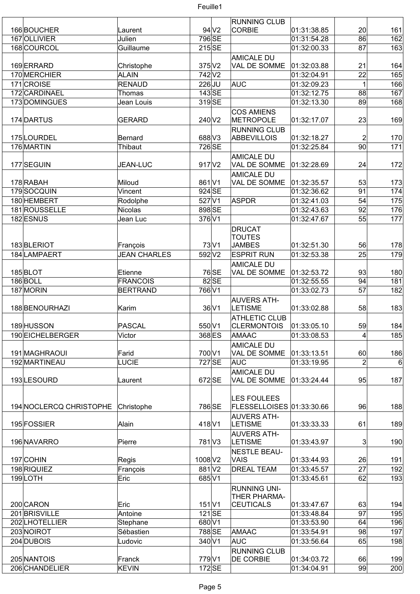

|                         |                     |                    |                  | <b>RUNNING CLUB</b>                 |             |                 |     |
|-------------------------|---------------------|--------------------|------------------|-------------------------------------|-------------|-----------------|-----|
| 166BOUCHER              | Laurent             |                    | 94 <sub>V2</sub> | <b>CORBIE</b>                       | 01:31:38.85 | 20 <sup>2</sup> | 161 |
| 167 OLLIVIER            | Julien              | 796 SE             |                  |                                     | 01:31:54.28 | 86              | 162 |
| 168COURCOL              | Guillaume           | 215SE              |                  |                                     | 01:32:00.33 | 87              | 163 |
|                         |                     |                    |                  | <b>AMICALE DU</b>                   |             |                 |     |
| 169ERRARD               | Christophe          | $375$ $V2$         |                  | VAL DE SOMME                        | 01:32:03.88 | 21              | 164 |
| 170 MERCHIER            | <b>ALAIN</b>        | 742 V <sub>2</sub> |                  |                                     | 01:32:04.91 | 22              | 165 |
| 171 CROISE              | <b>RENAUD</b>       | $226$ JU           |                  | AUC                                 | 01:32:09.23 | 1               | 166 |
| 172 CARDINAEL           | Thomas              | $143$ SE           |                  |                                     | 01:32:12.75 | 88              | 167 |
| 173 DOMINGUES           | Jean Louis          | 319SE              |                  |                                     | 01:32:13.30 | 89              | 168 |
|                         |                     |                    |                  |                                     |             |                 |     |
| 174 DARTUS              | <b>GERARD</b>       | 240 V2             |                  | <b>COS AMIENS</b><br>METROPOLE      | 01:32:17.07 | 23              |     |
|                         |                     |                    |                  |                                     |             |                 | 169 |
|                         |                     |                    |                  | <b>RUNNING CLUB</b>                 |             |                 |     |
| 175LOURDEL              | Bernard             | 688 V3             |                  | <b>ABBEVILLOIS</b>                  | 01:32:18.27 | $\overline{2}$  | 170 |
| 176 MARTIN              | Thibaut             | 726 SE             |                  |                                     | 01:32:25.84 | 90 <sub>0</sub> | 171 |
|                         |                     |                    |                  | <b>AMICALE DU</b>                   |             |                 |     |
| 177 SEGUIN              | <b>JEAN-LUC</b>     | 917 V2             |                  | VAL DE SOMME                        | 01:32:28.69 | 24              | 172 |
|                         |                     |                    |                  | <b>AMICALE DU</b>                   |             |                 |     |
| 178 RABAH               | Miloud              | 861 V1             |                  | VAL DE SOMME                        | 01:32:35.57 | 53              | 173 |
| 179SOCQUIN              | Vincent             | 924 SE             |                  |                                     | 01:32:36.62 | 91              | 174 |
| 180 HEMBERT             | Rodolphe            | 527 V1             |                  | ASPDR                               | 01:32:41.03 | 54              | 175 |
| 181 ROUSSELLE           | <b>Nicolas</b>      | 898 SE             |                  |                                     | 01:32:43.63 | 92              | 176 |
| 182 ESNUS               | Jean Luc            | 376 V1             |                  |                                     | 01:32:47.67 | 55              | 177 |
|                         |                     |                    |                  | <b>DRUCAT</b>                       |             |                 |     |
|                         |                     |                    |                  | <b>TOUTES</b>                       |             |                 |     |
| 183BLERIOT              | François            |                    | 73 V1            | <b>JAMBES</b>                       | 01:32:51.30 | 56              | 178 |
| 184 LAMPAERT            | <b>JEAN CHARLES</b> | 592 V2             |                  | <b>ESPRIT RUN</b>                   | 01:32:53.38 | 25              | 179 |
|                         |                     |                    |                  | <b>AMICALE DU</b>                   |             |                 |     |
| 185BLOT                 | Etienne             |                    | 76 SE            | VAL DE SOMME                        | 01:32:53.72 | 93              | 180 |
| 186BOLL                 | <b>FRANCOIS</b>     |                    | $82$ SE          |                                     | 01:32:55.55 | 94              | 181 |
| 187 MORIN               | <b>BERTRAND</b>     | 766 V1             |                  |                                     | 01:33:02.73 | 57              | 182 |
|                         |                     |                    |                  |                                     |             |                 |     |
|                         |                     |                    |                  | <b>AUVERS ATH-</b>                  |             |                 |     |
| 188 BENOURHAZI          | Karim               |                    | 36 V1            | <b>LETISME</b>                      | 01:33:02.88 | 58              | 183 |
|                         |                     |                    |                  | <b>ATHLETIC CLUB</b>                |             |                 |     |
| 189 HUSSON              | PASCAL              | 550 V1             |                  | <b>CLERMONTOIS</b>                  | 01:33:05.10 | 59              | 184 |
| 190 EICHELBERGER        | Victor              | 368 ES             |                  | <b>AMAAC</b>                        | 01:33:08.53 | 4               | 185 |
|                         |                     |                    |                  | <b>AMICALE DU</b>                   |             |                 |     |
| 191 MAGHRAOUI           | Farid               | 700 V1             |                  | VAL DE SOMME                        | 01:33:13.51 | 60              | 186 |
| 192 MARTINEAU           | <b>LUCIE</b>        | 727 SE             |                  | AUC                                 | 01:33:19.95 | $\overline{2}$  | 6   |
|                         |                     |                    |                  | <b>AMICALE DU</b>                   |             |                 |     |
| 193LESOURD              | Laurent             | 672 SE             |                  | VAL DE SOMME                        | 01:33:24.44 | 95              | 187 |
|                         |                     |                    |                  |                                     |             |                 |     |
|                         |                     |                    |                  | <b>LES FOULEES</b>                  |             |                 |     |
| 194 NOCLERCQ CHRISTOPHE | Christophe          | 786 SE             |                  | FLESSELLOISES 01:33:30.66           |             | 96              | 188 |
|                         |                     |                    |                  | <b>AUVERS ATH-</b>                  |             |                 |     |
| 195 FOSSIER             | Alain               | 418 V1             |                  | <b>LETISME</b>                      | 01:33:33.33 | 61              | 189 |
|                         |                     |                    |                  | <b>AUVERS ATH-</b>                  |             |                 |     |
| 196 NAVARRO             | Pierre              | 781 <sub>V3</sub>  |                  | <b>LETISME</b>                      | 01:33:43.97 | 3 <sup>2</sup>  | 190 |
|                         |                     |                    |                  | <b>NESTLE BEAU-</b>                 |             |                 |     |
| 197 COHIN               | Regis               | 1008 V2            |                  | <b>VAIS</b>                         | 01:33:44.93 | 26              | 191 |
| 198 RIQUIEZ             | François            | 881 V2             |                  | <b>DREAL TEAM</b>                   | 01:33:45.57 | 27              | 192 |
| 199LOTH                 | Eric                | 685 V1             |                  |                                     | 01:33:45.61 | 62              | 193 |
|                         |                     |                    |                  |                                     |             |                 |     |
|                         |                     |                    |                  | <b>RUNNING UNI-</b><br>THER PHARMA- |             |                 |     |
| 200 CARON               | Eric                | $151$ V1           |                  | <b>CEUTICALS</b>                    | 01:33:47.67 | 63              | 194 |
| 201BRISVILLE            | Antoine             | $121$ SE           |                  |                                     | 01:33:48.84 | 97              | 195 |
| 202 LHOTELLIER          |                     | 680 V1             |                  |                                     |             | 64              | 196 |
|                         | Stephane            |                    |                  |                                     | 01:33:53.90 |                 |     |
| 203 NOIROT              | Sébastien           | 788 SE             |                  | AMAAC                               | 01:33:54.91 | 98              | 197 |
| 204 DUBOIS              | Ludovic             | 340 V1             |                  | AUC                                 | 01:33:56.64 | 65              | 198 |
|                         |                     |                    |                  | <b>RUNNING CLUB</b>                 |             |                 |     |
| 205 NANTOIS             | Franck              | 779 V1             |                  | <b>DE CORBIE</b>                    | 01:34:03.72 | 66              | 199 |
| 206 CHANDELIER          | <b>KEVIN</b>        | $172$ SE           |                  |                                     | 01:34:04.91 | 99              | 200 |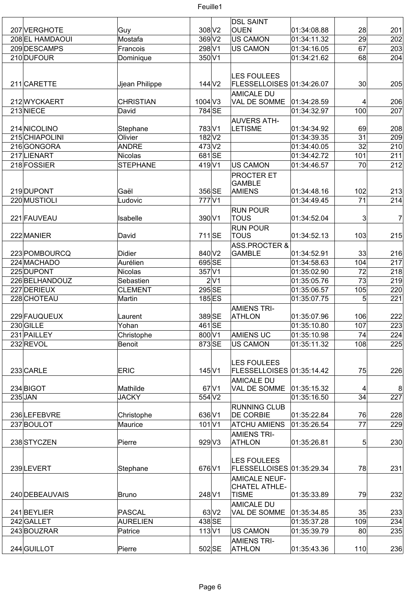|                 |                  |                    |      | <b>DSL SAINT</b>                        |             |                 |                |
|-----------------|------------------|--------------------|------|-----------------------------------------|-------------|-----------------|----------------|
| 207 VERGHOTE    |                  | 308 V2             |      | <b>OUEN</b>                             | 01:34:08.88 | 28              | 201            |
|                 | Guy              |                    |      |                                         |             |                 |                |
| 208 EL HAMDAOUI | Mostafa          | 369 V2             |      | US CAMON                                | 01:34:11.32 | 29              | 202            |
| 209 DESCAMPS    | Francois         | 298 V1             |      | <b>US CAMON</b>                         | 01:34:16.05 | 67              | 203            |
| 210 DUFOUR      | Dominique        | 350 V1             |      |                                         | 01:34:21.62 | 68              | 204            |
|                 |                  |                    |      |                                         |             |                 |                |
|                 |                  |                    |      | <b>LES FOULEES</b>                      |             |                 |                |
| 211 CARETTE     | Jjean Philippe   | $144$ $V2$         |      | FLESSELLOISES 01:34:26.07               |             | 30              | 205            |
|                 |                  |                    |      | <b>AMICALE DU</b>                       |             |                 |                |
| 212 WYCKAERT    | <b>CHRISTIAN</b> | $1004$ V3          |      | VAL DE SOMME                            | 01:34:28.59 | 4               | 206            |
| 213NIECE        | David            | 784 SE             |      |                                         | 01:34:32.97 | 100             | 207            |
|                 |                  |                    |      |                                         |             |                 |                |
|                 |                  |                    |      | <b>AUVERS ATH-</b>                      |             |                 |                |
| 214 NICOLINO    | Stephane         | 783 V1             |      | <b>LETISME</b>                          | 01:34:34.92 | 69              | 208            |
| 215 CHIAPOLINI  | Olivier          | 182 V <sub>2</sub> |      |                                         | 01:34:39.35 | 31              | 209            |
| 216GONGORA      | ANDRE            | 473V2              |      |                                         | 01:34:40.05 | $\overline{32}$ | 210            |
| 217 LIENART     | Nicolas          | 681SE              |      |                                         | 01:34:42.72 | 101             | 211            |
| 218 FOSSIER     | <b>STEPHANE</b>  | $419$ V1           |      | <b>US CAMON</b>                         | 01:34:46.57 | 70              | 212            |
|                 |                  |                    |      | <b>PROCTER ET</b>                       |             |                 |                |
|                 |                  |                    |      | <b>GAMBLE</b>                           |             |                 |                |
|                 |                  | 356 SE             |      | AMIENS                                  |             |                 |                |
| 219 DUPONT      | Gaël             |                    |      |                                         | 01:34:48.16 | 102             | 213            |
| 220 MUSTIOLI    | Ludovic          | 777 <sub>V1</sub>  |      |                                         | 01:34:49.45 | 71              | 214            |
|                 |                  |                    |      | <b>RUN POUR</b>                         |             |                 |                |
| 221 FAUVEAU     | Isabelle         | 390 V1             |      | <b>TOUS</b>                             | 01:34:52.04 | 3               | $\overline{7}$ |
|                 |                  |                    |      | <b>RUN POUR</b>                         |             |                 |                |
| 222 MANIER      | David            | 711 SE             |      | <b>TOUS</b>                             | 01:34:52.13 | 103             | 215            |
|                 |                  |                    |      | <b>ASS.PROCTER &amp;</b>                |             |                 |                |
| 223 POMBOURCQ   | Didier           | 840 V2             |      | <b>GAMBLE</b>                           | 01:34:52.91 | 33              | 216            |
|                 | Aurélien         |                    |      |                                         |             |                 |                |
| 224 MACHADO     |                  | 695 SE             |      |                                         | 01:34:58.63 | 104             | 217            |
| 225 DUPONT      | Nicolas          | 357 V1             |      |                                         | 01:35:02.90 | 72              | 218            |
| 226 BELHANDOUZ  | Sebastien        |                    | 2 V1 |                                         | 01:35:05.76 | 73              | 219            |
| 227 DERIEUX     | <b>CLEMENT</b>   | 295 SE             |      |                                         | 01:35:06.57 | 105             | 220            |
| 228 CHOTEAU     | Martin           | 185 ES             |      |                                         | 01:35:07.75 | 5               | 221            |
|                 |                  |                    |      | <b>AMIENS TRI-</b>                      |             |                 |                |
| 229 FAUQUEUX    | Laurent          | 389 SE             |      | <b>ATHLON</b>                           | 01:35:07.96 | 106             | 222            |
| 230 GILLE       | Yohan            | 461 SE             |      |                                         | 01:35:10.80 | 107             | 223            |
| 231 PAILLEY     |                  | 800 V1             |      | <b>AMIENS UC</b>                        | 01:35:10.98 | 74              | 224            |
|                 | Christophe       |                    |      |                                         |             |                 |                |
| 232 REVOL       | Benoit           | 873 SE             |      | <b>US CAMON</b>                         | 01:35:11.32 | 108             | 225            |
|                 |                  |                    |      |                                         |             |                 |                |
|                 |                  |                    |      | <b>LES FOULEES</b>                      |             |                 |                |
| 233 CARLE       | <b>ERIC</b>      | $145$ V1           |      | FLESSELLOISES 01:35:14.42               |             | 75              | 226            |
|                 |                  |                    |      | <b>AMICALE DU</b>                       |             |                 |                |
| 234 BIGOT       | Mathilde         | $67$ V1            |      | VAL DE SOMME                            | 01:35:15.32 | 4               | 8              |
| $235$ JAN       | <b>JACKY</b>     | 554 V2             |      |                                         | 01:35:16.50 | 34              | 227            |
|                 |                  |                    |      |                                         |             |                 |                |
| 236LEFEBVRE     |                  | 636 V1             |      | <b>RUNNING CLUB</b><br><b>DE CORBIE</b> | 01:35:22.84 | 76              | 228            |
|                 | Christophe       |                    |      |                                         |             |                 |                |
| 237 BOULOT      | Maurice          | 101 V1             |      | <b>ATCHU AMIENS</b>                     | 01:35:26.54 | 77              | 229            |
|                 |                  |                    |      | <b>AMIENS TRI-</b>                      |             |                 |                |
| 238 STYCZEN     | Pierre           | $929$ V3           |      | <b>ATHLON</b>                           | 01:35:26.81 | $\overline{5}$  | 230            |
|                 |                  |                    |      |                                         |             |                 |                |
|                 |                  |                    |      | <b>LES FOULEES</b>                      |             |                 |                |
| 239LEVERT       | Stephane         | 676 V1             |      | FLESSELLOISES 01:35:29.34               |             | 78              | 231            |
|                 |                  |                    |      | <b>AMICALE NEUF-</b>                    |             |                 |                |
|                 |                  |                    |      | <b>CHATEL ATHLE-</b>                    |             |                 |                |
| 240 DEBEAUVAIS  |                  | 248 V1             |      | <b>TISME</b>                            | 01:35:33.89 | 79              | 232            |
|                 | Bruno            |                    |      |                                         |             |                 |                |
|                 |                  |                    |      | <b>AMICALE DU</b>                       |             |                 |                |
| 241 BEYLIER     | PASCAL           | 63 <sub>2</sub>    |      | VAL DE SOMME                            | 01:35:34.85 | 35              | 233            |
| 242 GALLET      | <b>AURELIEN</b>  | 438 SE             |      |                                         | 01:35:37.28 | 109             | 234            |
| 243 BOUZRAR     | Patrice          | $113$ V1           |      | <b>US CAMON</b>                         | 01:35:39.79 | 80              | 235            |
|                 |                  |                    |      | <b>AMIENS TRI-</b>                      |             |                 |                |
| 244 GUILLOT     | Pierre           | 502 SE             |      | <b>ATHLON</b>                           | 01:35:43.36 | 110             | 236            |
|                 |                  |                    |      |                                         |             |                 |                |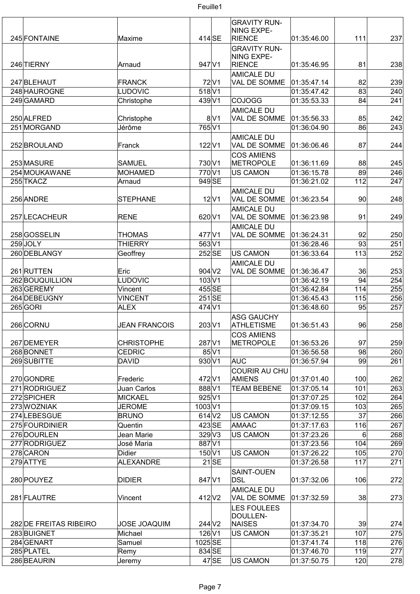

| 245 FONTAINE           | Maxime               | $414$ SE           |                      | <b>GRAVITY RUN-</b><br>NING EXPE-<br><b>RIENCE</b> | 01:35:46.00 | 111 | 237 |
|------------------------|----------------------|--------------------|----------------------|----------------------------------------------------|-------------|-----|-----|
|                        |                      |                    |                      | <b>GRAVITY RUN-</b><br><b>NING EXPE-</b>           |             |     |     |
| 246 TIERNY             | Arnaud               | 947 V1             |                      | RIENCE                                             | 01:35:46.95 | 81  | 238 |
|                        |                      |                    |                      | <b>AMICALE DU</b>                                  |             |     |     |
| 247 BLEHAUT            | <b>FRANCK</b>        |                    | $72$ $V1$            | VAL DE SOMME                                       | 01:35:47.14 | 82  | 239 |
| 248 HAUROGNE           | LUDOVIC              | 518 V1             |                      |                                                    | 01:35:47.42 | 83  | 240 |
| 249 GAMARD             | Christophe           | 439 V1             |                      | <b>COJOGG</b>                                      | 01:35:53.33 | 84  | 241 |
|                        |                      |                    |                      | <b>AMICALE DU</b>                                  |             |     |     |
| 250 ALFRED             | Christophe           |                    | 8 V1                 | VAL DE SOMME                                       | 01:35:56.33 | 85  | 242 |
| 251 MORGAND            | Jérôme               | 765 V1             |                      |                                                    | 01:36:04.90 | 86  | 243 |
|                        |                      |                    |                      | <b>AMICALE DU</b>                                  |             |     |     |
| 252 BROULAND           | Franck               | $122$ $V1$         |                      | VAL DE SOMME                                       | 01:36:06.46 | 87  | 244 |
|                        |                      |                    |                      | <b>COS AMIENS</b>                                  |             |     |     |
| 253 MASURE             | <b>SAMUEL</b>        | 730 V1             |                      | METROPOLE                                          | 01:36:11.69 | 88  | 245 |
| 254 MOUKAWANE          | MOHAMED              | 770 V1             |                      | <b>US CAMON</b>                                    | 01:36:15.78 | 89  | 246 |
| 255 TKACZ              | Arnaud               | 949 SE             |                      |                                                    | 01:36:21.02 | 112 | 247 |
|                        |                      |                    |                      | <b>AMICALE DU</b>                                  |             |     |     |
| 256 ANDRE              | <b>STEPHANE</b>      |                    | 12 V1                | VAL DE SOMME                                       | 01:36:23.54 | 90  | 248 |
|                        |                      |                    |                      | <b>AMICALE DU</b>                                  |             |     |     |
| 257 LECACHEUR          | <b>RENE</b>          | 620 V1             |                      | VAL DE SOMME                                       | 01:36:23.98 | 91  | 249 |
|                        |                      |                    |                      | <b>AMICALE DU</b>                                  |             |     |     |
| 258 GOSSELIN           | <b>THOMAS</b>        | 477 V1             |                      | VAL DE SOMME                                       | 01:36:24.31 | 92  | 250 |
| 259JOLY                | <b>THIERRY</b>       | 563 V1             |                      |                                                    | 01:36:28.46 | 93  | 251 |
| 260 DEBLANGY           | Geoffrey             | 252 SE             |                      | <b>US CAMON</b>                                    | 01:36:33.64 | 113 | 252 |
|                        |                      |                    |                      | <b>AMICALE DU</b>                                  |             |     |     |
| 261 RUTTEN             | Eric                 | 904 V <sub>2</sub> |                      | VAL DE SOMME                                       | 01:36:36.47 | 36  | 253 |
| 262 BOUQUILLION        | <b>LUDOVIC</b>       | 103 V1             |                      |                                                    | 01:36:42.19 | 94  | 254 |
| 263GEREMY              | Vincent              | 455 SE             |                      |                                                    | 01:36:42.84 | 114 | 255 |
| 264 DEBEUGNY           | <b>VINCENT</b>       | $251$ SE           |                      |                                                    | 01:36:45.43 | 115 | 256 |
| 265 GORI               | <b>ALEX</b>          | 474 V1             |                      |                                                    | 01:36:48.60 | 95  | 257 |
| 266 CORNU              | <b>JEAN FRANCOIS</b> | 203 V1             |                      | <b>ASG GAUCHY</b><br>ATHLETISME                    | 01:36:51.43 | 96  | 258 |
|                        |                      |                    |                      | <b>COS AMIENS</b>                                  |             |     |     |
| 267 DEMEYER            | <b>CHRISTOPHE</b>    | 287 V1             |                      | METROPOLE                                          | 01:36:53.26 | 97  | 259 |
| 268 BONNET             | <b>CEDRIC</b>        |                    | $85\vert\mathrm{V}1$ |                                                    | 01:36:56.58 | 98  | 260 |
| 269 SUBITTE            | <b>DAVID</b>         | 930 V1             |                      | AUC                                                | 01:36:57.94 | 99  | 261 |
|                        |                      |                    |                      | COURIR AU CHU                                      |             |     |     |
| 270 GONDRE             | Frederic             | 472 V1             |                      | AMIENS                                             | 01:37:01.40 | 100 | 262 |
| 271 RODRIGUEZ          | Juan Carlos          | 888 V1             |                      | <b>TEAM BEBENE</b>                                 | 01:37:05.14 | 101 | 263 |
| 272 SPICHER            | MICKAEL              | 925 V1             |                      |                                                    | 01:37:07.25 | 102 | 264 |
| 273 WOZNIAK            | <b>JEROME</b>        | 1003 V1            |                      |                                                    | 01:37:09.15 | 103 | 265 |
| 274 LEBESGUE           | <b>BRUNO</b>         | $614$ V2           |                      | US CAMON                                           | 01:37:12.55 | 37  | 266 |
| 275 FOURDINIER         | Quentin              | 423 SE             |                      | AMAAC                                              | 01:37:17.63 | 116 | 267 |
| 276 DOURLEN            | Jean Marie           | $329$ $V3$         |                      | <b>US CAMON</b>                                    | 01:37:23.26 | 6   | 268 |
| 277 RODRIGUEZ          | José Maria           | 887 V1             |                      |                                                    | 01:37:23.56 | 104 | 269 |
| 278 CARON              | <b>Didier</b>        | $150$ V1           |                      | <b>US CAMON</b>                                    | 01:37:26.22 | 105 | 270 |
| 279 ATTYE              | ALEXANDRE            |                    | $21$ SE              |                                                    | 01:37:26.58 | 117 | 271 |
|                        |                      |                    |                      | SAINT-OUEN                                         |             |     |     |
| 280 POUYEZ             | <b>DIDIER</b>        | 847 V1             |                      | <b>DSL</b>                                         | 01:37:32.06 | 106 | 272 |
|                        |                      |                    |                      | <b>AMICALE DU</b>                                  |             |     |     |
| 281 FLAUTRE            | Vincent              | 412 V2             |                      | VAL DE SOMME                                       | 01:37:32.59 | 38  | 273 |
|                        |                      |                    |                      |                                                    |             |     |     |
|                        |                      |                    |                      | <b>LES FOULEES</b><br>DOULLEN-                     |             |     |     |
| 282 DE FREITAS RIBEIRO | <b>JOSE JOAQUIM</b>  | 244 V <sub>2</sub> |                      | NAISES                                             | 01:37:34.70 | 39  | 274 |
| 283BUIGNET             | Michael              | $126$ V1           |                      | <b>US CAMON</b>                                    | 01:37:35.21 | 107 | 275 |
| 284 GENART             | Samuel               | 1025 SE            |                      |                                                    | 01:37:41.74 | 118 | 276 |
| 285 PLATEL             | Remy                 | 834 SE             |                      |                                                    | 01:37:46.70 | 119 | 277 |
| 286 BEAURIN            |                      |                    | $47$ SE              | <b>US CAMON</b>                                    | 01:37:50.75 | 120 | 278 |
|                        | Jeremy               |                    |                      |                                                    |             |     |     |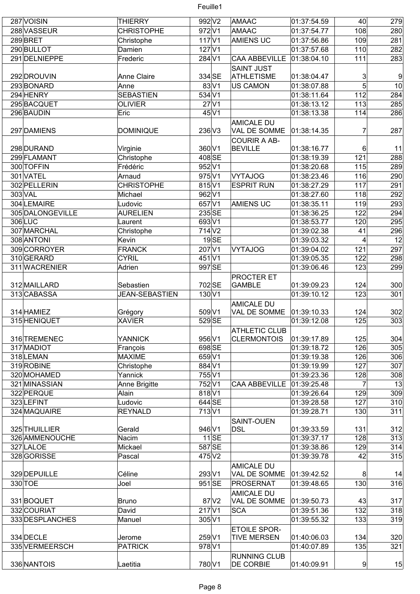| 287 VOISIN       | <b>THIERRY</b>        | 992 V <sub>2</sub>          |                    | AMAAC                             | 01:37:54.59 | 40             | 279            |
|------------------|-----------------------|-----------------------------|--------------------|-----------------------------------|-------------|----------------|----------------|
| 288 VASSEUR      | <b>CHRISTOPHE</b>     | 972V1                       |                    | AMAAC                             | 01:37:54.77 | 108            | 280            |
| 289BRET          | Christophe            | $117$ $V1$                  |                    | <b>AMIENS UC</b>                  | 01:37:56.86 | 109            | 281            |
| 290 BULLOT       | Damien                | $127$ $V1$                  |                    |                                   | 01:37:57.68 | 110            | 282            |
| 291 DELNIEPPE    | Frederic              | 284 V1                      |                    | <b>CAA ABBEVILLE</b>              | 01:38:04.10 | 111            | 283            |
|                  |                       |                             |                    |                                   |             |                |                |
|                  |                       | 334 SE                      |                    | <b>SAINT JUST</b>                 |             |                |                |
| 292 DROUVIN      | <b>Anne Claire</b>    |                             |                    | <b>ATHLETISME</b>                 | 01:38:04.47 | 3              | $\overline{9}$ |
| 293BONARD        | Anne                  |                             | $83\vert\sqrt{1}$  | <b>US CAMON</b>                   | 01:38:07.88 | 5              | 10             |
| 294 HENRY        | <b>SEBASTIEN</b>      | $534\overline{\mathrm{V1}}$ |                    |                                   | 01:38:11.64 | 112            | 284            |
| 295BACQUET       | <b>OLIVIER</b>        |                             | $27$ <sub>V1</sub> |                                   | 01:38:13.12 | 113            | 285            |
| 296 BAUDIN       | Eric                  |                             | $45\vert\sqrt{1}$  |                                   | 01:38:13.38 | 114            | 286            |
|                  |                       |                             |                    | <b>AMICALE DU</b>                 |             |                |                |
| 297 DAMIENS      | <b>DOMINIQUE</b>      | 236 V3                      |                    | VAL DE SOMME                      | 01:38:14.35 | 7              | 287            |
|                  |                       |                             |                    | <b>COURIR A AB-</b>               |             |                |                |
| 298 DURAND       | Virginie              | 360 V1                      |                    | <b>BEVILLE</b>                    | 01:38:16.77 | 6              | 11             |
| 299 FLAMANT      | Christophe            | 408 SE                      |                    |                                   | 01:38:19.39 | 121            | 288            |
| 300 TOFFIN       | Frédéric              | 952 V1                      |                    |                                   | 01:38:20.68 | 115            | 289            |
| 301 VATEL        | Arnaud                | 975 V1                      |                    | <b>VYTAJOG</b>                    | 01:38:23.46 | 116            | 290            |
| 302 PELLERIN     | <b>CHRISTOPHE</b>     | 815 V1                      |                    | <b>ESPRIT RUN</b>                 | 01:38:27.29 | 117            | 291            |
| 303 VAL          | Michael               | 962 V1                      |                    |                                   | 01:38:27.60 | 118            | 292            |
|                  |                       |                             |                    |                                   |             |                |                |
| 304 LEMAIRE      | Ludovic               | 657 V1                      |                    | <b>AMIENS UC</b>                  | 01:38:35.11 | 119            | 293            |
| 305 DALONGEVILLE | <b>AURELIEN</b>       | 235 SE                      |                    |                                   | 01:38:36.25 | 122            | 294            |
| 306 LUC          | Laurent               | 693 V1                      |                    |                                   | 01:38:53.77 | 120            | 295            |
| 307 MARCHAL      | Christophe            | 714 <sub>V2</sub>           |                    |                                   | 01:39:02.38 | 41             | 296            |
| 308 ANTONI       | Kevin                 |                             | $19$ SE            |                                   | 01:39:03.32 | 4              | 12             |
| 309 CORROYER     | <b>FRANCK</b>         | 207 V1                      |                    | <b>VYTAJOG</b>                    | 01:39:04.02 | 121            | 297            |
| 310GERARD        | <b>CYRIL</b>          | 451 <sub>V1</sub>           |                    |                                   | 01:39:05.35 | 122            | 298            |
| 311 WACRENIER    | Adrien                | 997 SE                      |                    |                                   | 01:39:06.46 | 123            | 299            |
|                  |                       |                             |                    | <b>PROCTER ET</b>                 |             |                |                |
| 312 MAILLARD     | Sebastien             | 702 SE                      |                    | <b>GAMBLE</b>                     | 01:39:09.23 | 124            | 300            |
| 313 CABASSA      | <b>JEAN-SEBASTIEN</b> | 130 V1                      |                    |                                   | 01:39:10.12 | 123            | 301            |
|                  |                       |                             |                    | <b>AMICALE DU</b>                 |             |                |                |
| 314 HAMIEZ       | Grégory               | 509 V1                      |                    | VAL DE SOMME                      | 01:39:10.33 | 124            | 302            |
| 315 HENIQUET     | <b>XAVIER</b>         | 529 SE                      |                    |                                   | 01:39:12.08 | 125            | 303            |
|                  |                       |                             |                    |                                   |             |                |                |
|                  |                       |                             |                    | <b>ATHLETIC CLUB</b>              |             |                |                |
| 316 TREMENEC     | <b>YANNICK</b>        | 956 V1                      |                    | <b>CLERMONTOIS</b>                | 01:39:17.89 | 125            | 304            |
| 317 MADIOT       | François              | 698 SE                      |                    |                                   | 01:39:18.72 | 126            | 305            |
| 318 LEMAN        | MAXIME                | 659 V1                      |                    |                                   | 01:39:19.38 | 126            | 306            |
| 319 ROBINE       | Christophe            | 884 V1                      |                    |                                   | 01:39:19.99 | 127            | 307            |
| 320 MOHAMED      | Yannick               | 755 V1                      |                    |                                   | 01:39:23.36 | 128            | 308            |
| 321 MINASSIAN    | Anne Brigitte         | 752V1                       |                    | <b>CAA ABBEVILLE</b>              | 01:39:25.48 | $\overline{7}$ | 13             |
| 322 PERQUE       | Alain                 | 818 V1                      |                    |                                   | 01:39:26.64 | 129            | 309            |
| 323LEFINT        | Ludovic               | 644 SE                      |                    |                                   | 01:39:28.58 | 127            | 310            |
| 324 MAQUAIRE     | <b>REYNALD</b>        | 713 <sub>V1</sub>           |                    |                                   | 01:39:28.71 | 130            | 311            |
|                  |                       |                             |                    | SAINT-OUEN                        |             |                |                |
| 325 THUILLIER    | Gerald                | 946 V1                      |                    | <b>DSL</b>                        | 01:39:33.59 | 131            | 312            |
| 326 AMMENOUCHE   | Nacim                 |                             | $11$ SE            |                                   | 01:39:37.17 | 128            | 313            |
| 327 LALOE        | Mickael               | 587 SE                      |                    |                                   | 01:39:38.86 | 129            | 314            |
| 328 GORISSE      | Pascal                | 475 V2                      |                    |                                   | 01:39:39.78 | 42             | 315            |
|                  |                       |                             |                    |                                   |             |                |                |
| 329 DEPUILLE     | Céline                | 293 V1                      |                    | <b>AMICALE DU</b><br>VAL DE SOMME |             |                | 14             |
|                  |                       |                             |                    |                                   | 01:39:42.52 | 8              |                |
| 330 TOE          | Joel                  | 951 SE                      |                    | PROSERNAT                         | 01:39:48.65 | 130            | 316            |
|                  |                       |                             |                    | <b>AMICALE DU</b>                 |             |                |                |
| 331 BOQUET       | <b>Bruno</b>          |                             | 87 V <sub>2</sub>  | VAL DE SOMME                      | 01:39:50.73 | 43             | 317            |
| 332 COURIAT      | David                 | $217$ $V1$                  |                    | <b>SCA</b>                        | 01:39:51.36 | 132            | 318            |
| 333 DESPLANCHES  | Manuel                | 305 V1                      |                    |                                   | 01:39:55.32 | 133            | 319            |
|                  |                       |                             |                    | <b>ETOILE SPOR-</b>               |             |                |                |
| 334 DECLE        | Jerome                | 259 V1                      |                    | <b>TIVE MERSEN</b>                | 01:40:06.03 | 134            | 320            |
| 335 VERMEERSCH   | <b>PATRICK</b>        | 978 V1                      |                    |                                   | 01:40:07.89 | 135            | 321            |
|                  |                       |                             |                    | <b>RUNNING CLUB</b>               |             |                |                |
| 336 NANTOIS      | Laetitia              | 780 V1                      |                    | <b>DE CORBIE</b>                  | 01:40:09.91 | 9              | 15             |
|                  |                       |                             |                    |                                   |             |                |                |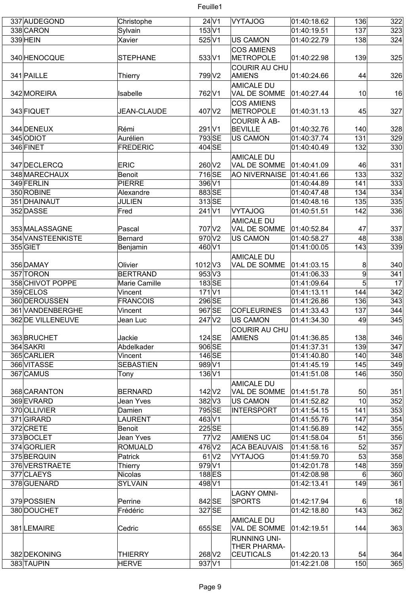| 337 AUDEGOND      | Christophe         |                    | $24$ V1             | VYTAJOG              | 01:40:18.62 | 136            | 322 |
|-------------------|--------------------|--------------------|---------------------|----------------------|-------------|----------------|-----|
| 338 CARON         | Sylvain            | $153$ V1           |                     |                      | 01:40:19.51 | 137            | 323 |
| 339 HEIN          | Xavier             | 525 V1             |                     | <b>US CAMON</b>      | 01:40:22.79 | 138            | 324 |
|                   |                    |                    |                     | <b>COS AMIENS</b>    |             |                |     |
| 340 HENOCQUE      | <b>STEPHANE</b>    | 533 V1             |                     | METROPOLE            | 01:40:22.98 | 139            | 325 |
|                   |                    |                    |                     |                      |             |                |     |
|                   |                    |                    |                     | <b>COURIR AU CHU</b> |             |                |     |
| 341 PAILLE        | Thierry            | 799 V2             |                     | <b>AMIENS</b>        | 01:40:24.66 | 44             | 326 |
|                   |                    |                    |                     | <b>AMICALE DU</b>    |             |                |     |
| 342 MOREIRA       | Isabelle           | 762 V1             |                     | VAL DE SOMME         | 01:40:27.44 | 10             | 16  |
|                   |                    |                    |                     | <b>COS AMIENS</b>    |             |                |     |
| 343 FIQUET        | <b>JEAN-CLAUDE</b> | 407 V2             |                     | <b>METROPOLE</b>     | 01:40:31.13 | 45             | 327 |
|                   |                    |                    |                     | COURIR À AB-         |             |                |     |
| 344 DENEUX        | Rémi               | 291 <sub>V1</sub>  |                     | <b>BEVILLE</b>       | 01:40:32.76 | 140            | 328 |
| 345 ODIOT         | Aurélien           | 793 SE             |                     | <b>US CAMON</b>      | 01:40:37.74 | 131            | 329 |
| 346 FINET         | FREDERIC           | 404 SE             |                     |                      | 01:40:40.49 | 132            | 330 |
|                   |                    |                    |                     |                      |             |                |     |
|                   |                    |                    |                     | <b>AMICALE DU</b>    |             |                |     |
| 347 DECLERCQ      | <b>ERIC</b>        | 260 V2             |                     | VAL DE SOMME         | 01:40:41.09 | 46             | 331 |
| 348 MARECHAUX     | Benoit             | 716 SE             |                     | <b>AO NIVERNAISE</b> | 01:40:41.66 | 133            | 332 |
| 349 FERLIN        | <b>PIERRE</b>      | 396 V1             |                     |                      | 01:40:44.89 | 141            | 333 |
| 350 ROBINE        | Alexandre          | 883 SE             |                     |                      | 01:40:47.48 | 134            | 334 |
| 351 DHAINAUT      | <b>JULIEN</b>      | 313SE              |                     |                      | 01:40:48.16 | 135            | 335 |
| 352 DASSE         | Fred               | $241$ V1           |                     | <b>VYTAJOG</b>       |             | 142            | 336 |
|                   |                    |                    |                     |                      | 01:40:51.51 |                |     |
|                   |                    |                    |                     | <b>AMICALE DU</b>    |             |                |     |
| 353 MALASSAGNE    | Pascal             | 707 V2             |                     | VAL DE SOMME         | 01:40:52.84 | 47             | 337 |
| 354 VANSTEENKISTE | Bernard            | 970 V2             |                     | <b>US CAMON</b>      | 01:40:58.27 | 48             | 338 |
| 355 GIET          | Benjamin           | 460 V1             |                     |                      | 01:41:00.05 | 143            | 339 |
|                   |                    |                    |                     | <b>AMICALE DU</b>    |             |                |     |
| 356 DAMAY         | Olivier            | $1012$ V3          |                     | VAL DE SOMME         | 01:41:03.15 | 8              | 340 |
| 357 TORON         | <b>BERTRAND</b>    | 953 V3             |                     |                      |             | $\overline{9}$ | 341 |
|                   |                    |                    |                     |                      | 01:41:06.33 |                |     |
| 358 CHIVOT POPPE  | Marie Camille      | 183SE              |                     |                      | 01:41:09.64 | 5              | 17  |
| 359 CELOS         | Vincent            | $171$ V1           |                     |                      | 01:41:13.11 | 144            | 342 |
| 360 DEROUSSEN     | <b>FRANCOIS</b>    | 296 SE             |                     |                      | 01:41:26.86 | 136            | 343 |
| 361 VANDENBERGHE  | Vincent            | 967 SE             |                     | <b>COFLEURINES</b>   | 01:41:33.43 | 137            | 344 |
| 362 DE VILLENEUVE | Jean Luc           | 247 V <sub>2</sub> |                     | <b>US CAMON</b>      | 01:41:34.30 | 49             | 345 |
|                   |                    |                    |                     | <b>COURIR AU CHU</b> |             |                |     |
| 363 BRUCHET       | Jackie             | $124$ SE           |                     | <b>AMIENS</b>        | 01:41:36.85 | 138            | 346 |
| 364 SAKRI         | Abdelkader         | 906 SE             |                     |                      | 01:41:37.31 | 139            | 347 |
|                   |                    |                    |                     |                      |             |                |     |
| 365 CARLIER       | Vincent            | $146$ SE           |                     |                      | 01:41:40.80 | 140            | 348 |
| 366 VITASSE       | <b>SEBASTIEN</b>   | 989 V1             |                     |                      | 01:41:45.19 | 145            | 349 |
| 367 CAMUS         | Tony               | 136 V1             |                     |                      | 01:41:51.08 | 146            | 350 |
|                   |                    |                    |                     | <b>AMICALE DU</b>    |             |                |     |
| 368 CARANTON      | <b>BERNARD</b>     | 142 V <sub>2</sub> |                     | VAL DE SOMME         | 01:41:51.78 | 50             | 351 |
| 369 EVRARD        | Jean Yves          | $382\text{V}3$     |                     | <b>US CAMON</b>      | 01:41:52.82 | 10             | 352 |
| 370 OLLIVIER      | Damien             | 795 SE             |                     | <b>INTERSPORT</b>    | 01:41:54.15 | 141            | 353 |
| 371 GIRARD        | <b>LAURENT</b>     | 463 V1             |                     |                      | 01:41:55.76 | 147            | 354 |
|                   |                    |                    |                     |                      |             |                |     |
| 372 CRETE         | Benoit             | 225 SE             |                     |                      | 01:41:56.89 | 142            | 355 |
| 373BOCLET         | Jean Yves          |                    | $77$ $V2$           | <b>AMIENS UC</b>     | 01:41:58.04 | 51             | 356 |
| 374 GORLIER       | <b>ROMUALD</b>     | 476 V2             |                     | <b>ACA BEAUVAIS</b>  | 01:41:58.16 | 52             | 357 |
| 375 BERQUIN       | Patrick            |                    | $61$ V <sub>2</sub> | <b>VYTAJOG</b>       | 01:41:59.70 | 53             | 358 |
| 376 VERSTRAETE    | Thierry            | 979 V1             |                     |                      | 01:42:01.78 | 148            | 359 |
| 377 CLAEYS        | Nicolas            | 188 ES             |                     |                      | 01:42:08.98 | 6              | 360 |
| 378 GUENARD       | <b>SYLVAIN</b>     | 498 V1             |                     |                      | 01:42:13.41 | 149            | 361 |
|                   |                    |                    |                     |                      |             |                |     |
|                   |                    |                    |                     | <b>LAGNY OMNI-</b>   |             |                |     |
| 379 POSSIEN       | Perrine            | 842 SE             |                     | <b>SPORTS</b>        | 01:42:17.94 | 6              | 18  |
| 380 DOUCHET       | Frédéric           | 327 SE             |                     |                      | 01:42:18.80 | 143            | 362 |
|                   |                    |                    |                     | <b>AMICALE DU</b>    |             |                |     |
| 381 LEMAIRE       | Cedric             | 655 SE             |                     | VAL DE SOMME         | 01:42:19.51 | 144            | 363 |
|                   |                    |                    |                     | <b>RUNNING UNI-</b>  |             |                |     |
|                   |                    |                    |                     | THER PHARMA-         |             |                |     |
| 382 DEKONING      | <b>THIERRY</b>     | 268 V <sub>2</sub> |                     | <b>CEUTICALS</b>     | 01:42:20.13 | 54             | 364 |
| 383 TAUPIN        | HERVE              | 937 V1             |                     |                      | 01:42:21.08 | 150            | 365 |
|                   |                    |                    |                     |                      |             |                |     |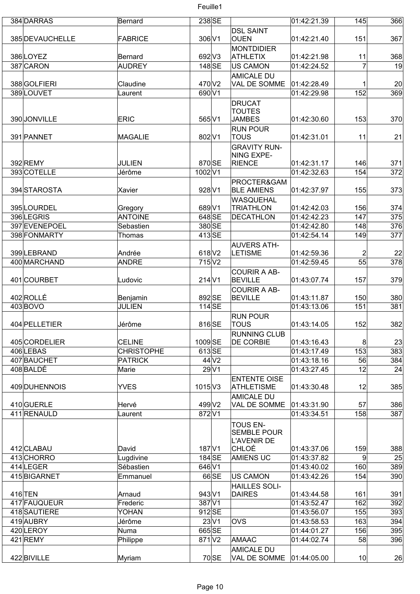| 384 DARRAS      | Bernard           | 238 SE            |                      | 01:42:21.39 | 145             | 366 |
|-----------------|-------------------|-------------------|----------------------|-------------|-----------------|-----|
|                 |                   |                   | <b>DSL SAINT</b>     |             |                 |     |
| 385 DEVAUCHELLE | FABRICE           | 306 V1            | <b>OUEN</b>          | 01:42:21.40 | 151             | 367 |
|                 |                   |                   | <b>MONTDIDIER</b>    |             |                 |     |
| 386LOYEZ        | Bernard           | 692 V3            | <b>ATHLETIX</b>      | 01:42:21.98 | 11              | 368 |
| 387 CARON       | <b>AUDREY</b>     | 148 SE            | <b>US CAMON</b>      | 01:42:24.52 | $\overline{7}$  | 19  |
|                 |                   |                   | <b>AMICALE DU</b>    |             |                 |     |
| 388 GOLFIERI    | Claudine          | 470 V2            | VAL DE SOMME         | 01:42:28.49 | 1               | 20  |
| 389LOUVET       | Laurent           | 690 V1            |                      | 01:42:29.98 | 152             | 369 |
|                 |                   |                   | DRUCAT               |             |                 |     |
|                 |                   |                   | <b>TOUTES</b>        |             |                 |     |
| 390 JONVILLE    | <b>ERIC</b>       | 565 V1            | <b>JAMBES</b>        | 01:42:30.60 | 153             | 370 |
|                 |                   |                   | <b>RUN POUR</b>      |             |                 |     |
| 391 PANNET      | MAGALIE           | 802 V1            | <b>TOUS</b>          | 01:42:31.01 | 11              | 21  |
|                 |                   |                   | <b>GRAVITY RUN-</b>  |             |                 |     |
|                 |                   |                   | NING EXPE-           |             |                 |     |
| 392 REMY        | <b>JULIEN</b>     | 870 SE            | RIENCE               | 01:42:31.17 | 146             | 371 |
| 393 COTELLE     | Jérôme            | 1002V1            |                      | 01:42:32.63 | 154             | 372 |
|                 |                   |                   | PROCTER&GAM          |             |                 |     |
| 394 STAROSTA    | Xavier            | 928 V1            | <b>BLE AMIENS</b>    | 01:42:37.97 | 155             | 373 |
|                 |                   |                   | WASQUEHAL            |             |                 |     |
| 395 LOURDEL     | Gregory           | 689 V1            | <b>TRIATHLON</b>     | 01:42:42.03 | 156             | 374 |
| 396LEGRIS       | <b>ANTOINE</b>    | 648 SE            | <b>DECATHLON</b>     | 01:42:42.23 | 147             | 375 |
| 397 EVENEPOEL   | Sebastien         | 380 SE            |                      | 01:42:42.80 | 148             | 376 |
| 398 FONMARTY    | Thomas            | 413SE             |                      | 01:42:54.14 | 149             | 377 |
|                 |                   |                   |                      |             |                 |     |
|                 |                   |                   | <b>AUVERS ATH-</b>   |             |                 |     |
| 399 LEBRAND     | Andrée            | 618 V2            | <b>LETISME</b>       | 01:42:59.36 | $\overline{2}$  | 22  |
| 400 MARCHAND    | <b>ANDRE</b>      | 715 V2            |                      | 01:42:59.45 | 55              | 378 |
|                 |                   |                   | <b>COURIR A AB-</b>  |             |                 |     |
| 401 COURBET     | Ludovic           | $214$ $V1$        | <b>BEVILLE</b>       | 01:43:07.74 | 157             | 379 |
|                 |                   |                   | <b>COURIR A AB-</b>  |             |                 |     |
| 402 ROLLÉ       | Benjamin          | 892 SE            | <b>BEVILLE</b>       | 01:43:11.87 | 150             | 380 |
| 403BOVO         | <b>JULIEN</b>     | $114$ SE          |                      | 01:43:13.06 | 151             | 381 |
|                 |                   |                   | <b>RUN POUR</b>      |             |                 |     |
| 404 PELLETIER   | Jérôme            | 816SE             | <b>TOUS</b>          | 01:43:14.05 | 152             | 382 |
|                 |                   |                   | <b>RUNNING CLUB</b>  |             |                 |     |
| 405 CORDELIER   | <b>CELINE</b>     | 1009 SE           | <b>DE CORBIE</b>     | 01:43:16.43 | 8               | 23  |
| 406LEBAS        | <b>CHRISTOPHE</b> | 613SE             |                      | 01:43:17.49 | 153             | 383 |
| 407 BAUCHET     | <b>PATRICK</b>    | 44 <sup>2</sup>   |                      | 01:43:18.16 | 56              | 384 |
| 408BALDÉ        | Marie             | $29$ $V1$         |                      | 01:43:27.45 | 12              | 24  |
|                 |                   |                   | <b>ENTENTE OISE</b>  |             |                 |     |
| 409 DUHENNOIS   | <b>YVES</b>       | $1015$ V3         | <b>ATHLETISME</b>    | 01:43:30.48 | 12              | 385 |
|                 |                   |                   | <b>AMICALE DU</b>    |             |                 |     |
| 410 GUERLE      | Hervé             | 499 V2            | VAL DE SOMME         | 01:43:31.90 | 57              | 386 |
| 411 RENAULD     | Laurent           | 872V1             |                      | 01:43:34.51 | 158             | 387 |
|                 |                   |                   | <b>TOUS EN-</b>      |             |                 |     |
|                 |                   |                   | <b>SEMBLE POUR</b>   |             |                 |     |
|                 |                   |                   | <b>L'AVENIR DE</b>   |             |                 |     |
| 412 CLABAU      | David             | 187 <sub>V1</sub> | ∣CHLOÉ               | 01:43:37.06 | 159             | 388 |
| 413CHORRO       | Lugdivine         | 184 SE            | <b>AMIENS UC</b>     | 01:43:37.82 | $\overline{9}$  | 25  |
| 414 LEGER       | Sébastien         | 646 V1            |                      | 01:43:40.02 | 160             | 389 |
| 415BIGARNET     | Emmanuel          | 66 SE             | <b>US CAMON</b>      | 01:43:42.26 | 154             | 390 |
|                 |                   |                   | <b>HAILLES SOLI-</b> |             |                 |     |
| $416$ TEN       | Arnaud            | 943 V1            | <b>DAIRES</b>        | 01:43:44.58 | 161             | 391 |
| 417 FAUQUEUR    | Frederic          | 387 V1            |                      | 01:43:52.47 | 162             | 392 |
| 418 SAUTIERE    | YOHAN             | 912SE             |                      | 01:43:56.07 | 155             | 393 |
| 419 AUBRY       | Jérôme            | $23\vert\sqrt{1}$ | lovs                 | 01:43:58.53 | 163             | 394 |
| 420LEROY        | Numa              | 665 SE            |                      | 01:44:01.27 | 156             | 395 |
| 421 REMY        |                   | 871 <sub>V2</sub> | AMAAC                | 01:44:02.74 | 58              | 396 |
|                 | Philippe          |                   |                      |             |                 |     |
|                 |                   |                   | <b>AMICALE DU</b>    |             |                 |     |
| 422 BIVILLE     | Myriam            | 70 SE             | VAL DE SOMME         | 01:44:05.00 | 10 <sup>1</sup> | 26  |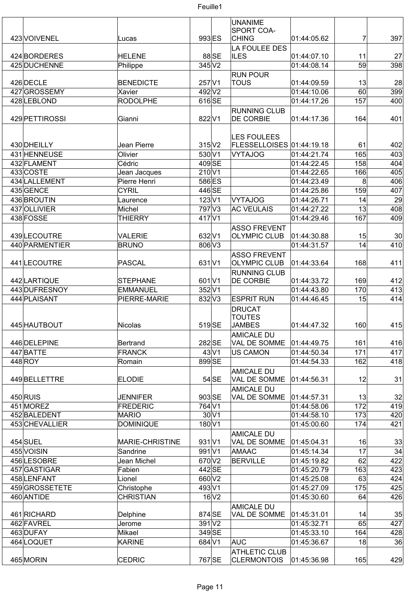

|                              |                              |                   |                      | <b>UNANIME</b>                    |                            |                 |                 |
|------------------------------|------------------------------|-------------------|----------------------|-----------------------------------|----------------------------|-----------------|-----------------|
|                              |                              |                   |                      | SPORT COA-                        |                            |                 |                 |
| 423 VOIVENEL                 | Lucas                        | 993 ES            |                      | <b>CHING</b>                      | 01:44:05.62                | 7               | 397             |
| 424 BORDERES                 | <b>HELENE</b>                |                   | 88 SE                | LA FOULEE DES<br><b>ILES</b>      | 01:44:07.10                | 11              | 27              |
| 425 DUCHENNE                 | Philippe                     | $345$ $V2$        |                      |                                   | 01:44:08.14                | $\overline{59}$ | 398             |
|                              |                              |                   |                      | <b>RUN POUR</b>                   |                            |                 |                 |
| 426 DECLE                    | <b>BENEDICTE</b>             | $257$ $V1$        |                      | <b>TOUS</b>                       | 01:44:09.59                | 13              | 28              |
| 427 GROSSEMY                 | Xavier                       | 492 V2            |                      |                                   | 01:44:10.06                | 60              | 399             |
| 428 LEBLOND                  | <b>RODOLPHE</b>              | 616 SE            |                      |                                   | 01:44:17.26                | 157             | 400             |
|                              |                              |                   |                      | <b>RUNNING CLUB</b>               |                            |                 |                 |
| 429 PETTIROSSI               | Gianni                       | 822 V1            |                      | <b>DE CORBIE</b>                  | 01:44:17.36                | 164             | 401             |
|                              |                              |                   |                      |                                   |                            |                 |                 |
|                              |                              |                   |                      | <b>LES FOULEES</b>                |                            |                 |                 |
| 430 DHEILLY                  | Jean Pierre                  | $315$ $V2$        |                      | FLESSELLOISES 01:44:19.18         |                            | 61              | 402             |
| 431 HENNEUSE                 | Olivier                      | 530 V1            |                      | <b>VYTAJOG</b>                    | 01:44:21.74                | 165             | 403             |
| 432 FLAMENT                  | Cédric                       | 409 SE            |                      |                                   | 01:44:22.45                | 158             | 404             |
| 433 COSTE<br>434 LALLEMENT   | Jean Jacques                 | 210 V1<br>586 ES  |                      |                                   | 01:44:22.65<br>01:44:23.49 | 166<br>8        | 405<br>406      |
| 435 GENCE                    | Pierre Henri<br><b>CYRIL</b> | 446 SE            |                      |                                   | 01:44:25.86                | 159             | 407             |
| 436 BROUTIN                  | Laurence                     | $123$ V1          |                      | <b>VYTAJOG</b>                    | 01:44:26.71                | 14              | 29              |
| 437 OLLIVIER                 | Michel                       | 797 V3            |                      | <b>AC VEULAIS</b>                 | 01:44:27.22                | 13              | 408             |
| 438 FOSSE                    | THIERRY                      | 417 V1            |                      |                                   | 01:44:29.46                | 167             | 409             |
|                              |                              |                   |                      | <b>ASSO FREVENT</b>               |                            |                 |                 |
| 439 LECOUTRE                 | <b>VALERIE</b>               | 632 V1            |                      | <b>OLYMPIC CLUB</b>               | 01:44:30.88                | 15              | 30              |
| 440 PARMENTIER               | <b>BRUNO</b>                 | 806 V3            |                      |                                   | 01:44:31.57                | 14              | 410             |
|                              |                              |                   |                      | <b>ASSO FREVENT</b>               |                            |                 |                 |
| 441 LECOUTRE                 | <b>PASCAL</b>                | 631 V1            |                      | <b>OLYMPIC CLUB</b>               | 01:44:33.64                | 168             | 411             |
|                              |                              |                   |                      | <b>RUNNING CLUB</b>               |                            |                 |                 |
| 442 LARTIQUE                 | <b>STEPHANE</b>              | 601 V1            |                      | DE CORBIE                         | 01:44:33.72                | 169             | 412             |
| 443 DUFRESNOY                | EMMANUEL                     | 352 V1            |                      |                                   | 01:44:43.80                | 170             | 413             |
| 444 PLAISANT                 | PIERRE-MARIE                 | 832 V3            |                      | <b>ESPRIT RUN</b>                 | 01:44:46.45                | 15              | 414             |
|                              |                              |                   |                      | <b>DRUCAT</b>                     |                            |                 |                 |
|                              |                              |                   |                      | <b>TOUTES</b>                     |                            |                 |                 |
| 445 HAUTBOUT                 | Nicolas                      | 519 <sub>SE</sub> |                      | <b>JAMBES</b>                     | 01:44:47.32                | 160             | 415             |
| 446 DELEPINE                 | <b>Bertrand</b>              | 282 SE            |                      | <b>AMICALE DU</b><br>VAL DE SOMME | 01:44:49.75                | 161             | 416             |
| 447 BATTE                    | <b>FRANCK</b>                |                   | 43 V1                | <b>US CAMON</b>                   | 01:44:50.34                | 171             | 417             |
| 448 ROY                      | Romain                       | 899 SE            |                      |                                   | 01:44:54.33                | 162             | 418             |
|                              |                              |                   |                      | <b>AMICALE DU</b>                 |                            |                 |                 |
| 449 BELLETTRE                | <b>ELODIE</b>                |                   | $54$ SE              | VAL DE SOMME                      | 01:44:56.31                | 12              | 31              |
|                              |                              |                   |                      | <b>AMICALE DU</b>                 |                            |                 |                 |
| 450 RUIS                     | <b>JENNIFER</b>              | 903 SE            |                      | VAL DE SOMME                      | 01:44:57.31                | 13              | 32              |
| 451 MOREZ                    | FREDERIC                     | 764 V1            |                      |                                   | 01:44:58.06                | 172             | 419             |
| 452 BALEDENT                 | <b>MARIO</b>                 |                   | $30\vert\mathrm{V}1$ |                                   | 01:44:58.10                | 173             | 420             |
| 453 CHEVALLIER               | <b>DOMINIQUE</b>             | 180V1             |                      |                                   | 01:45:00.60                | 174             | 421             |
|                              |                              |                   |                      | <b>AMICALE DU</b>                 |                            |                 |                 |
| $454$ SUEL                   | <b>MARIE-CHRISTINE</b>       | $931$ V1          |                      | VAL DE SOMME                      | 01:45:04.31                | 16              | 33              |
| 455 VOISIN                   | Sandrine                     | 991 V1            |                      | AMAAC                             | 01:45:14.34                | 17              | $\overline{34}$ |
| 456LESOBRE                   | Jean Michel                  | 670 V2            |                      | <b>BERVILLE</b>                   | 01:45:19.82                | 62              | 422             |
| 457 GASTIGAR                 | Fabien                       | 442 SE            |                      |                                   | 01:45:20.79                | 163             | 423             |
| 458 LENFANT                  | Lionel                       | 660 V2            |                      |                                   | 01:45:25.08                | 63              | 424             |
| 459 GROSSETETE<br>460 ANTIDE | Christophe                   | 493 V1            | 16 V2                |                                   | 01:45:27.09                | 175<br>64       | 425<br>426      |
|                              | <b>CHRISTIAN</b>             |                   |                      |                                   | 01:45:30.60                |                 |                 |
| 461 RICHARD                  | Delphine                     | 874 SE            |                      | <b>AMICALE DU</b><br>VAL DE SOMME | 01:45:31.01                | 14              | 35              |
| 462 FAVREL                   | Jerome                       | 391 V2            |                      |                                   | 01:45:32.71                | 65              | 427             |
| 463 DUFAY                    | Mikael                       | 349 SE            |                      |                                   | 01:45:33.10                | 164             | 428             |
| 464 LOQUET                   | <b>KARINE</b>                | 684 V1            |                      | AUC                               | 01:45:36.67                | 18              | 36              |
|                              |                              |                   |                      | <b>ATHLETIC CLUB</b>              |                            |                 |                 |
| 465 MORIN                    | <b>CEDRIC</b>                | 767 SE            |                      | <b>CLERMONTOIS</b>                | 01:45:36.98                | 165             | 429             |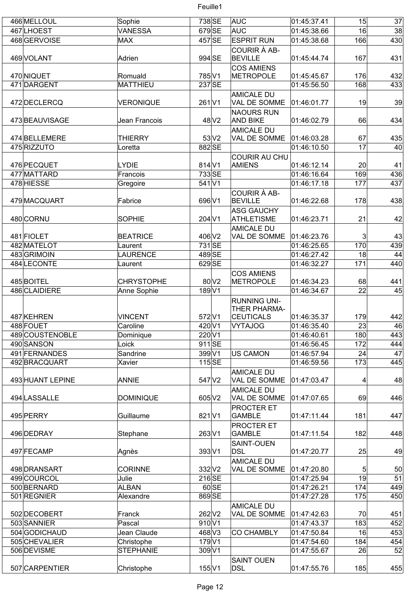| 466 MELLOUL      | Sophie            | 738 SE            |                   | AUC                                                       | 01:45:37.41 | 15  | 37  |
|------------------|-------------------|-------------------|-------------------|-----------------------------------------------------------|-------------|-----|-----|
| 467LHOEST        | <b>VANESSA</b>    | 679SE             |                   | AUC                                                       | 01:45:38.66 | 16  | 38  |
| 468GERVOISE      | MAX               | 457 SE            |                   | <b>ESPRIT RUN</b>                                         | 01:45:38.68 | 166 | 430 |
| 469 VOLANT       | Adrien            | 994 SE            |                   | COURIR À AB-<br><b>BEVILLE</b>                            | 01:45:44.74 | 167 | 431 |
|                  |                   |                   |                   | <b>COS AMIENS</b>                                         |             |     |     |
| 470 NIQUET       | Romuald           | 785 V1            |                   | METROPOLE                                                 | 01:45:45.67 | 176 | 432 |
| 471 DARGENT      | MATTHIEU          | 237 SE            |                   |                                                           | 01:45:56.50 | 168 | 433 |
| 472 DECLERCQ     | <b>VERONIQUE</b>  | 261 <sub>V1</sub> |                   | <b>AMICALE DU</b><br>VAL DE SOMME                         | 01:46:01.77 | 19  | 39  |
| 473 BEAUVISAGE   | Jean Francois     |                   | 48 V <sub>2</sub> | <b>NAOURS RUN</b><br><b>AND BIKE</b><br><b>AMICALE DU</b> | 01:46:02.79 | 66  | 434 |
| 474 BELLEMERE    | <b>THIERRY</b>    |                   | 53 <sub>N2</sub>  | VAL DE SOMME                                              | 01:46:03.28 | 67  | 435 |
| 475 RIZZUTO      | Loretta           | 882 SE            |                   |                                                           | 01:46:10.50 | 17  | 40  |
|                  |                   |                   |                   | COURIR AU CHU                                             |             |     |     |
| 476 PECQUET      | <b>LYDIE</b>      | $814$ V1          |                   | <b>AMIENS</b>                                             | 01:46:12.14 | 20  | 41  |
| 477 MATTARD      | Francois          | 733 SE            |                   |                                                           | 01:46:16.64 | 169 | 436 |
| 478 HIESSE       | Gregoire          | 541 V1            |                   |                                                           | 01:46:17.18 | 177 | 437 |
| 479 MACQUART     | Fabrice           | 696 V1            |                   | COURIR À AB-<br><b>BEVILLE</b>                            | 01:46:22.68 | 178 | 438 |
| 480 CORNU        | <b>SOPHIE</b>     | 204 V1            |                   | <b>ASG GAUCHY</b><br>ATHLETISME                           | 01:46:23.71 | 21  | 42  |
|                  |                   |                   |                   | <b>AMICALE DU</b>                                         |             |     |     |
| 481 FIOLET       | <b>BEATRICE</b>   | 406 V2            |                   | VAL DE SOMME                                              | 01:46:23.76 | 3   | 43  |
| 482 MATELOT      | Laurent           | 731 SE            |                   |                                                           | 01:46:25.65 | 170 | 439 |
| 483GRIMOIN       | <b>LAURENCE</b>   | 489 SE            |                   |                                                           | 01:46:27.42 | 18  | 44  |
| 484 LECONTE      | Laurent           | 629 SE            |                   |                                                           | 01:46:32.27 | 171 | 440 |
| 485 BOITEL       | <b>CHRYSTOPHE</b> |                   | $80\text{V}2$     | <b>COS AMIENS</b><br>METROPOLE                            | 01:46:34.23 | 68  | 441 |
| 486 CLAIDIERE    | Anne Sophie       | 189 V1            |                   |                                                           | 01:46:34.67 | 22  | 45  |
| 487 KEHREN       | <b>VINCENT</b>    | 572 V1            |                   | <b>RUNNING UNI-</b><br>THER PHARMA-<br><b>CEUTICALS</b>   | 01:46:35.37 | 179 | 442 |
| 488 FOUET        | Caroline          | 420 V1            |                   | VYTAJOG                                                   | 01:46:35.40 | 23  | 46  |
| 489 COUSTENOBLE  | Dominique         | 220 V1            |                   |                                                           | 01:46:40.61 | 180 | 443 |
| 490 SANSON       | Loick             | $911$ SE          |                   |                                                           | 01:46:56.45 | 172 | 444 |
| 491 FERNANDES    | Sandrine          | 399 V1            |                   | <b>US CAMON</b>                                           | 01:46:57.94 | 24  | 47  |
| 492 BRACQUART    | Xavier            | $115$ SE          |                   |                                                           | 01:46:59.56 | 173 | 445 |
| 493 HUANT LEPINE | ANNIE             | 547 V2            |                   | <b>AMICALE DU</b><br>VAL DE SOMME                         | 01:47:03.47 | 4   | 48  |
| 494 LASSALLE     | <b>DOMINIQUE</b>  | 605 V2            |                   | <b>AMICALE DU</b><br>VAL DE SOMME                         | 01:47:07.65 | 69  | 446 |
|                  |                   |                   |                   | PROCTER ET                                                |             |     |     |
| 495 PERRY        | Guillaume         | 821 V1            |                   | <b>GAMBLE</b><br><b>PROCTER ET</b>                        | 01:47:11.44 | 181 | 447 |
| 496 DEDRAY       | Stephane          | 263 V1            |                   | <b>GAMBLE</b>                                             | 01:47:11.54 | 182 | 448 |
| 497 FECAMP       | Agnès             | 393 V1            |                   | <b>SAINT-OUEN</b><br>DSL                                  | 01:47:20.77 | 25  | 49  |
| 498 DRANSART     | <b>CORINNE</b>    | $332$ V2          |                   | <b>AMICALE DU</b><br>VAL DE SOMME                         | 01:47:20.80 | 5   | 50  |
| 499 COURCOL      | Julie             | $216$ SE          |                   |                                                           | 01:47:25.94 | 19  | 51  |
| 500 BERNARD      | <b>ALBAN</b>      |                   | 60 SE             |                                                           | 01:47:26.21 | 174 | 449 |
| 501 REGNIER      | Alexandre         | 869 SE            |                   |                                                           | 01:47:27.28 | 175 | 450 |
| 502 DECOBERT     | Franck            | 262 V2            |                   | <b>AMICALE DU</b><br>VAL DE SOMME                         | 01:47:42.63 | 70  | 451 |
| 503 SANNIER      | Pascal            | 910 V1            |                   |                                                           | 01:47:43.37 | 183 | 452 |
| 504 GODICHAUD    | Jean Claude       | 468 V3            |                   | <b>CO CHAMBLY</b>                                         | 01:47:50.84 | 16  | 453 |
| 505 CHEVALIER    | Christophe        | $179$ V1          |                   |                                                           | 01:47:54.60 | 184 | 454 |
| 506 DEVISME      | <b>STEPHANIE</b>  | 309 V1            |                   |                                                           | 01:47:55.67 | 26  | 52  |
| 507 CARPENTIER   | Christophe        | 155 V1            |                   | <b>SAINT OUEN</b><br><b>DSL</b>                           | 01:47:55.76 | 185 | 455 |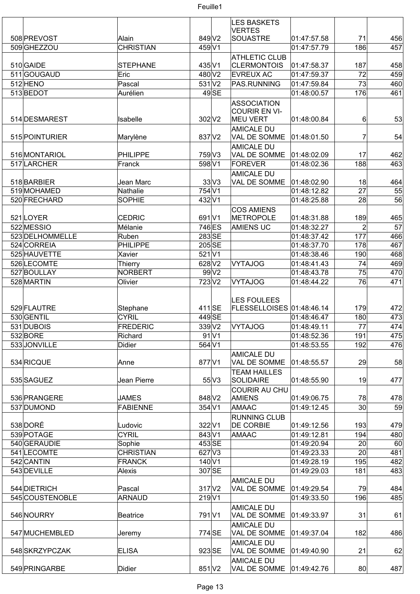

|                 |                  |                    |         | <b>LES BASKETS</b>        |             |                 |     |
|-----------------|------------------|--------------------|---------|---------------------------|-------------|-----------------|-----|
|                 |                  |                    |         | <b>VERTES</b>             |             |                 |     |
| 508 PREVOST     | Alain            | 849 V2             |         | SOUASTRE                  | 01:47:57.58 | 71              | 456 |
| 509 GHEZZOU     | <b>CHRISTIAN</b> | 459 V1             |         |                           | 01:47:57.79 | 186             | 457 |
|                 |                  |                    |         | <b>ATHLETIC CLUB</b>      |             |                 |     |
| 510 GAIDE       | <b>STEPHANE</b>  | 435 V1             |         | <b>CLERMONTOIS</b>        | 01:47:58.37 | 187             | 458 |
| 511GOUGAUD      | Eric             | 480 V2             |         | <b>EVREUX AC</b>          | 01:47:59.37 | 72              | 459 |
| 512 HENO        | Pascal           | $531$ V2           |         | PAS.RUNNING               | 01:47:59.84 | 73              | 460 |
| 513BEDOT        | Aurélien         |                    | $49$ SE |                           | 01:48:00.57 | 176             | 461 |
|                 |                  |                    |         |                           |             |                 |     |
|                 |                  |                    |         | <b>ASSOCIATION</b>        |             |                 |     |
|                 |                  |                    |         | <b>COURIR EN VI-</b>      |             |                 |     |
| 514 DESMAREST   | Isabelle         | 302 V <sub>2</sub> |         | <b>MEU VERT</b>           | 01:48:00.84 | $6 \mid$        | 53  |
|                 |                  |                    |         | <b>AMICALE DU</b>         |             |                 |     |
| 515 POINTURIER  | Marylène         | 837 V2             |         | VAL DE SOMME              | 01:48:01.50 | 7               | 54  |
|                 |                  |                    |         | <b>AMICALE DU</b>         |             |                 |     |
| 516 MONTARIOL   | PHILIPPE         | 759 V3             |         | VAL DE SOMME              | 01:48:02.09 | 17              | 462 |
| 517 LARCHER     | Franck           | 598 V1             |         | <b>FOREVER</b>            | 01:48:02.36 | 188             | 463 |
|                 |                  |                    |         |                           |             |                 |     |
|                 |                  |                    |         | <b>AMICALE DU</b>         |             |                 |     |
| 518BARBIER      | Jean Marc        |                    | 33 V3   | VAL DE SOMME              | 01:48:02.90 | 18              | 464 |
| 519 MOHAMED     | Nathalie         | 754 V1             |         |                           | 01:48:12.82 | $\overline{27}$ | 55  |
| 520 FRECHARD    | <b>SOPHIE</b>    | 432 V1             |         |                           | 01:48:25.88 | 28              | 56  |
|                 |                  |                    |         | <b>COS AMIENS</b>         |             |                 |     |
| 521LOYER        | <b>CEDRIC</b>    | 691 <sub>V1</sub>  |         | <b>METROPOLE</b>          | 01:48:31.88 | 189             | 465 |
| 522 MESSIO      | Mélanie          | 746 ES             |         | <b>AMIENS UC</b>          | 01:48:32.27 | $\overline{2}$  | 57  |
| 523 DELHOMMELLE | Ruben            | 283SE              |         |                           | 01:48:37.42 | 177             | 466 |
|                 |                  |                    |         |                           |             |                 |     |
| 524 CORREIA     | <b>PHILIPPE</b>  | $205$ SE           |         |                           | 01:48:37.70 | 178             | 467 |
| 525 HAUVETTE    | Xavier           | $521$ $V1$         |         |                           | 01:48:38.46 | 190             | 468 |
| 526LECOMTE      | <b>Thierry</b>   | 628 V2             |         | <b>VYTAJOG</b>            | 01:48:41.43 | 74              | 469 |
| 527 BOULLAY     | <b>NORBERT</b>   |                    | 99V2    |                           | 01:48:43.78 | 75              | 470 |
| 528 MARTIN      | Olivier          | 723 <sub>V2</sub>  |         | <b>VYTAJOG</b>            | 01:48:44.22 | 76              | 471 |
|                 |                  |                    |         |                           |             |                 |     |
|                 |                  |                    |         | <b>LES FOULEES</b>        |             |                 |     |
| 529 FLAUTRE     |                  | 411 SE             |         | FLESSELLOISES 01:48:46.14 |             | 179             |     |
|                 | Stephane         |                    |         |                           |             |                 | 472 |
| 530 GENTIL      | <b>CYRIL</b>     | 449 SE             |         |                           | 01:48:46.47 | 180             | 473 |
| 531 DUBOIS      | FREDERIC         | $339$ V2           |         | <b>VYTAJOG</b>            | 01:48:49.11 | 77              | 474 |
| 532BORE         | Richard          |                    | $91$ V1 |                           | 01:48:52.36 | 191             | 475 |
| 533 JONVILLE    | <b>Didier</b>    | 564 V1             |         |                           | 01:48:53.55 | 192             | 476 |
|                 |                  |                    |         | <b>AMICALE DU</b>         |             |                 |     |
| 534 RICQUE      | Anne             | 877 V1             |         | VAL DE SOMME              | 01:48:55.57 | 29              | 58  |
|                 |                  |                    |         | <b>TEAM HAILLES</b>       |             |                 |     |
|                 |                  |                    |         |                           |             |                 |     |
| 535 SAGUEZ      | Jean Pierre      |                    | 55 V3   | <b>SOLIDAIRE</b>          | 01:48:55.90 | 19              | 477 |
|                 |                  |                    |         | <b>COURIR AU CHU</b>      |             |                 |     |
| 536 PRANGERE    | <b>JAMES</b>     | 848 V2             |         | AMIENS                    | 01:49:06.75 | 78              | 478 |
| 537 DUMOND      | <b>FABIENNE</b>  | 354 V1             |         | <b>AMAAC</b>              | 01:49:12.45 | 30 <sup>2</sup> | 59  |
|                 |                  |                    |         | <b>RUNNING CLUB</b>       |             |                 |     |
| 538 DORÉ        | Ludovic          | 322 V1             |         | <b>DE CORBIE</b>          | 01:49:12.56 | 193             | 479 |
| 539 POTAGE      | <b>CYRIL</b>     | 843 V1             |         | AMAAC                     | 01:49:12.81 | 194             | 480 |
| 540 GERAUDIE    | Sophie           | 453 SE             |         |                           | 01:49:20.94 | 20              | 60  |
|                 |                  |                    |         |                           |             |                 |     |
| 541 LECOMTE     | <b>CHRISTIAN</b> | $627$ V3           |         |                           | 01:49:23.33 | 20              | 481 |
| 542 CANTIN      | <b>FRANCK</b>    | 140 <sub>V1</sub>  |         |                           | 01:49:28.19 | 195             | 482 |
| 543 DEVILLE     | Alexis           |                    | 307 SE  |                           | 01:49:29.03 | 181             | 483 |
|                 |                  |                    |         | <b>AMICALE DU</b>         |             |                 |     |
| 544 DIETRICH    | Pascal           | $317$ $V2$         |         | VAL DE SOMME              | 01:49:29.54 | 79              | 484 |
| 545 COUSTENOBLE | <b>ARNAUD</b>    | $219$ V1           |         |                           | 01:49:33.50 | 196             | 485 |
|                 |                  |                    |         | <b>AMICALE DU</b>         |             |                 |     |
| 546 NOURRY      | <b>Beatrice</b>  | 791 <sub>V1</sub>  |         | VAL DE SOMME              | 01:49:33.97 | 31              | 61  |
|                 |                  |                    |         |                           |             |                 |     |
|                 |                  |                    |         | <b>AMICALE DU</b>         |             |                 |     |
| 547 MUCHEMBLED  | Jeremy           | 774 SE             |         | VAL DE SOMME              | 01:49:37.04 | 182             | 486 |
|                 |                  |                    |         | <b>AMICALE DU</b>         |             |                 |     |
| 548 SKRZYPCZAK  | <b>ELISA</b>     | 923 SE             |         | VAL DE SOMME              | 01:49:40.90 | 21              | 62  |
|                 |                  |                    |         | <b>AMICALE DU</b>         |             |                 |     |
| 549 PRINGARBE   | Didier           | $851$ V2           |         | VAL DE SOMME              | 01:49:42.76 | 80              | 487 |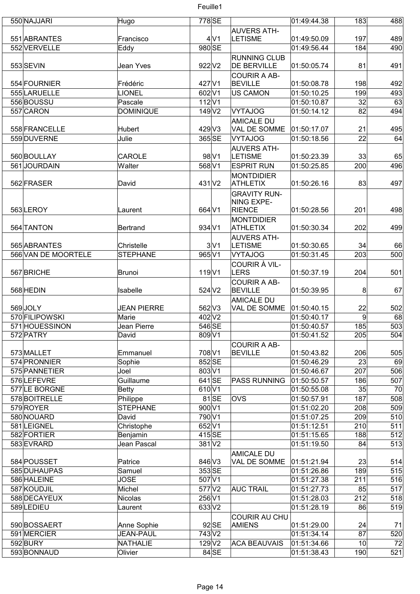| 550 NAJJARI         | Hugo               | 778 SE               |                |                      | 01:49:44.38 | 183            | 488 |
|---------------------|--------------------|----------------------|----------------|----------------------|-------------|----------------|-----|
|                     |                    |                      |                | <b>AUVERS ATH-</b>   |             |                |     |
| 551 ABRANTES        | Francisco          |                      | 4 <sup>1</sup> | <b>LETISME</b>       | 01:49:50.09 | 197            | 489 |
| 552 VERVELLE        | Eddy               | 980 SE               |                |                      | 01:49:56.44 | 184            | 490 |
|                     |                    |                      |                | <b>RUNNING CLUB</b>  |             |                |     |
| 553 SEVIN           | Jean Yves          | 922 V2               |                | <b>DE BERVILLE</b>   | 01:50:05.74 | 81             | 491 |
|                     |                    |                      |                | <b>COURIR A AB-</b>  |             |                |     |
| 554 FOURNIER        | Frédéric           | 427 V1               |                | <b>BEVILLE</b>       | 01:50:08.78 | 198            | 492 |
| 555 LARUELLE        | <b>LIONEL</b>      | 602 V1               |                | <b>US CAMON</b>      | 01:50:10.25 | 199            | 493 |
| 556 BOUSSU          | Pascale            | 112 V1               |                |                      | 01:50:10.87 | 32             | 63  |
| 557 CARON           | <b>DOMINIQUE</b>   | 149 V2               |                | <b>VYTAJOG</b>       | 01:50:14.12 | 82             | 494 |
|                     |                    |                      |                | <b>AMICALE DU</b>    |             |                |     |
| 558 FRANCELLE       | Hubert             | 429 V3               |                | VAL DE SOMME         | 01:50:17.07 | 21             | 495 |
|                     | Julie              | 365 SE               |                |                      |             | 22             |     |
| 559 DUVERNE         |                    |                      |                | <b>VYTAJOG</b>       | 01:50:18.56 |                | 64  |
|                     |                    |                      |                | <b>AUVERS ATH-</b>   |             |                |     |
| 560 BOULLAY         | <b>CAROLE</b>      |                      | 98 V1          | <b>LETISME</b>       | 01:50:23.39 | 33             | 65  |
| 561JOURDAIN         | Walter             | 568 V1               |                | <b>ESPRIT RUN</b>    | 01:50:25.85 | 200            | 496 |
|                     |                    |                      |                | <b>MONTDIDIER</b>    |             |                |     |
| 562 FRASER          | David              | 431 <sub>V2</sub>    |                | <b>ATHLETIX</b>      | 01:50:26.16 | 83             | 497 |
|                     |                    |                      |                | <b>GRAVITY RUN-</b>  |             |                |     |
|                     |                    |                      |                | <b>NING EXPE-</b>    |             |                |     |
| 563LEROY            | Laurent            | 664 V1               |                | <b>RIENCE</b>        | 01:50:28.56 | 201            | 498 |
|                     |                    |                      |                | <b>MONTDIDIER</b>    |             |                |     |
| 564 TANTON          | Bertrand           | 934 V1               |                | <b>ATHLETIX</b>      | 01:50:30.34 | 202            | 499 |
|                     |                    |                      |                | <b>AUVERS ATH-</b>   |             |                |     |
| 565 ABRANTES        | Christelle         |                      | 3 V1           | <b>LETISME</b>       | 01:50:30.65 | 34             | 66  |
| 566 VAN DE MOORTELE | <b>STEPHANE</b>    | 965 V1               |                | <b>VYTAJOG</b>       | 01:50:31.45 | 203            | 500 |
|                     |                    |                      |                | COURIR À VIL-        |             |                |     |
| 567 BRICHE          | Brunoi             | 119 <sub>V1</sub>    |                | <b>LERS</b>          | 01:50:37.19 | 204            | 501 |
|                     |                    |                      |                | <b>COURIR A AB-</b>  |             |                |     |
| 568 HEDIN           | Isabelle           | 524 V2               |                | <b>BEVILLE</b>       | 01:50:39.95 | 8              | 67  |
|                     |                    |                      |                | <b>AMICALE DU</b>    |             |                |     |
| 569JOLY             | <b>JEAN PIERRE</b> | 562 V3               |                | VAL DE SOMME         | 01:50:40.15 | 22             | 502 |
| 570 FILIPOWSKI      | Marie              | 402 V2               |                |                      | 01:50:40.17 | $\overline{9}$ | 68  |
| 571 HOUESSINON      | Jean Pierre        | 546 SE               |                |                      | 01:50:40.57 | 185            | 503 |
| 572 PATRY           | David              | 809 V1               |                |                      | 01:50:41.52 | 205            | 504 |
|                     |                    |                      |                | <b>COURIR A AB-</b>  |             |                |     |
| 573 MALLET          | Emmanuel           | 708 V1               |                | <b>BEVILLE</b>       | 01:50:43.82 | 206            | 505 |
| 574 PRONNIER        | Sophie             | 852 SE               |                |                      | 01:50:46.29 | 23             | 69  |
| 575 PANNETIER       | Joel               | 803 V1               |                |                      | 01:50:46.67 | 207            | 506 |
| 576LEFEVRE          | Guillaume          | 641SE                |                | <b>PASS RUNNING</b>  | 01:50:50.57 | 186            | 507 |
| 577LE BORGNE        | Betty              | 610 V1               |                |                      | 01:50:55.08 | 35             | 70  |
| 578BOITRELLE        | Philippe           |                      | $81$ SE        | <b>OVS</b>           | 01:50:57.91 | 187            | 508 |
| 579 ROYER           | <b>STEPHANE</b>    | 900 V1               |                |                      | 01:51:02.20 | 208            | 509 |
| 580 NOUARD          | David              | 790 V1               |                |                      | 01:51:07.25 | 209            | 510 |
| 581 LEIGNEL         | Christophe         | 652 V1               |                |                      | 01:51:12.51 | 210            | 511 |
| 582 FORTIER         |                    | 415SE                |                |                      | 01:51:15.65 | 188            | 512 |
|                     | Benjamin           |                      |                |                      |             | 84             |     |
| 583 EVRARD          | Jean Pascal        | $381$ $V2$           |                |                      | 01:51:19.50 |                | 513 |
|                     |                    |                      |                | <b>AMICALE DU</b>    |             |                |     |
| 584 POUSSET         | Patrice            | 846 V3               |                | VAL DE SOMME         | 01:51:21.94 | 23             | 514 |
| 585 DUHAUPAS        | Samuel             | 353 SE               |                |                      | 01:51:26.86 | 189            | 515 |
| 586 HALEINE         | <b>JOSE</b>        | 507 V1               |                |                      | 01:51:27.38 | 211            | 516 |
| 587 KOUDJIL         | Michel             | 577 V2               |                | <b>AUC TRAIL</b>     | 01:51:27.73 | 85             | 517 |
| 588 DECAYEUX        | Nicolas            | 256 V1               |                |                      | 01:51:28.03 | 212            | 518 |
| 589LEDIEU           | Laurent            | 633 V2               |                |                      | 01:51:28.19 | 86             | 519 |
|                     |                    |                      |                | <b>COURIR AU CHU</b> |             |                |     |
| 590 BOSSAERT        | Anne Sophie        |                      | $92$ SE        | AMIENS               | 01:51:29.00 | 24             | 71  |
| 591 MERCIER         | <b>JEAN-PAUL</b>   | 743 V2               |                |                      | 01:51:34.14 | 87             | 520 |
| 592BURY             | NATHALIE           | $129$ V <sub>2</sub> |                | <b>ACA BEAUVAIS</b>  | 01:51:34.66 | 10             | 72  |
| 593BONNAUD          | Olivier            |                      | $84$ SE        |                      | 01:51:38.43 | 190            | 521 |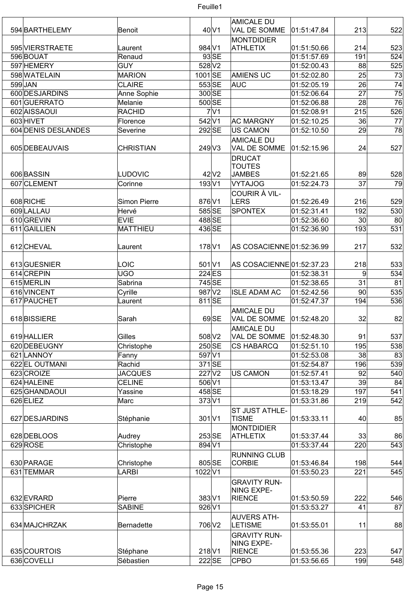

| 594 BARTHELEMY      | Benoit              |                             | $40$ V1             | AMICALE DU<br>VAL DE SOMME                            | 01:51:47.84 | 213             | 522             |
|---------------------|---------------------|-----------------------------|---------------------|-------------------------------------------------------|-------------|-----------------|-----------------|
|                     |                     |                             |                     | MONTDIDIER                                            |             |                 |                 |
| 595 VIERSTRAETE     | Laurent             | 984 V1                      |                     | <b>ATHLETIX</b>                                       | 01:51:50.66 | 214             | 523             |
| 596 BOUAT           | Renaud              |                             | $93$ SE             |                                                       | 01:51:57.69 | 191             | 524             |
| 597 HEMERY          | <b>GUY</b>          | 528 V2                      |                     |                                                       | 01:52:00.43 | 88              | 525             |
| 598 WATELAIN        | <b>MARION</b>       | 1001 SE                     |                     | <b>AMIENS UC</b>                                      | 01:52:02.80 | 25              | 73              |
| 599JAN              | <b>CLAIRE</b>       | 553 SE                      |                     | <b>AUC</b>                                            | 01:52:05.19 | 26              | $\overline{74}$ |
| 600 DESJARDINS      | Anne Sophie         | 300 SE                      |                     |                                                       | 01:52:06.64 | 27              | 75              |
| 601 GUERRATO        | Melanie             | $500\overline{\text{SE}}$   |                     |                                                       | 01:52:06.88 | 28              | 76              |
| 602 AISSAOUI        | <b>RACHID</b>       |                             | 7 <sup>1</sup>      |                                                       | 01:52:08.91 | 215             | 526             |
| 603 HIVET           | Florence            | 542 V1                      |                     | <b>AC MARGNY</b>                                      | 01:52:10.25 | 36              | 77              |
| 604 DENIS DESLANDES | Severine            | 292SE                       |                     | US CAMON                                              | 01:52:10.50 | 29              | 78              |
| 605 DEBEAUVAIS      | <b>CHRISTIAN</b>    | 249 V3                      |                     | <b>AMICALE DU</b><br>VAL DE SOMME<br>DRUCAT<br>TOUTES | 01:52:15.96 | 24              | 527             |
| 606 BASSIN          | <b>LUDOVIC</b>      |                             | $42$ V <sub>2</sub> | <b>JAMBES</b>                                         | 01:52:21.65 | 89              | 528             |
| 607 CLEMENT         | Corinne             | 193 V1                      |                     | VYTAJOG                                               | 01:52:24.73 | 37              | 79              |
|                     |                     |                             |                     | COURIR À VIL-                                         |             |                 |                 |
| 608 RICHE           | <b>Simon Pierre</b> | 876 V1                      |                     | LERS                                                  | 01:52:26.49 | 216             | 529             |
| 609 LALLAU          | Hervé               | 585 SE                      |                     | <b>SPONTEX</b>                                        | 01:52:31.41 | 192             | 530             |
| 610 GREVIN          | <b>EVIE</b>         | 488SE                       |                     |                                                       | 01:52:36.60 | 30 <sup>°</sup> | 80              |
| 611 GAILLIEN        | MATTHIEU            | 436 SE                      |                     |                                                       | 01:52:36.90 | 193             | 531             |
| 612 CHEVAL          | Laurent             | 178 V1                      |                     | AS COSACIENNE 01:52:36.99                             |             | 217             | 532             |
| 613 GUESNIER        | LOIC                | $501$ $V1$                  |                     | AS COSACIENNE 01:52:37.23                             |             | 218             | 533             |
| 614 CREPIN          | <b>UGO</b>          | 224 ES                      |                     |                                                       | 01:52:38.31 | $\overline{9}$  | 534             |
| 615 MERLIN          | Sabrina             | 745 SE                      |                     |                                                       | 01:52:38.65 | 31              | 81              |
| 616 VINCENT         | Cyrille             | 987 V2                      |                     | <b>ISLE ADAM AC</b>                                   | 01:52:42.56 | 90              | 535             |
| 617 PAUCHET         | Laurent             | 811 SE                      |                     |                                                       | 01:52:47.37 | 194             | 536             |
|                     |                     |                             |                     | <b>AMICALE DU</b>                                     |             |                 |                 |
| 618BISSIERE         | Sarah               |                             | 69 SE               | VAL DE SOMME<br><b>AMICALE DU</b>                     | 01:52:48.20 | 32              | 82              |
| 619 HALLIER         | Gilles              | 508 V2                      |                     | VAL DE SOMME                                          | 01:52:48.30 | 91              | 537             |
| 620 DEBEUGNY        | Christophe          | 250 SE                      |                     | <b>CS HABARCQ</b>                                     | 01:52:51.10 | 195             | 538             |
| 621 LANNOY          | Fanny               | 597 V1                      |                     |                                                       | 01:52:53.08 | 38              | 83              |
| 622 EL OUTMANI      | Rachid              | $371$ SE                    |                     |                                                       | 01:52:54.87 | 196             | 539             |
| 623 CROIZE          | <b>JACQUES</b>      | 227 V2                      |                     | US CAMON                                              | 01:52:57.41 | 92              | 540             |
| 624 HALEINE         | <b>CELINE</b>       | $506\overline{\mathrm{V1}}$ |                     |                                                       | 01:53:13.47 | 39              | 84              |
| 625 GHANDAOUI       | Yassine             | 458 SE                      |                     |                                                       | 01:53:18.29 | 197             | 541             |
| 626 ELIEZ           | Marc                | 373 V1                      |                     |                                                       | 01:53:31.86 | 219             | 542             |
| 627 DESJARDINS      | Stéphanie           | $301$ $V1$                  |                     | ST JUST ATHLE-<br><b>TISME</b>                        | 01:53:33.11 | 40 <sub>1</sub> | 85              |
|                     |                     |                             |                     | <b>MONTDIDIER</b>                                     |             |                 |                 |
| 628 DEBLOOS         | Audrey              | 253 SE                      |                     | <b>ATHLETIX</b>                                       | 01:53:37.44 | 33              | 86              |
| 629 ROSE            | Christophe          | 894 V1                      |                     | <b>RUNNING CLUB</b>                                   | 01:53:37.44 | 220             | 543             |
| 630 PARAGE          | Christophe          | 805 SE                      |                     | CORBIE                                                | 01:53:46.84 | 198             | 544             |
| 631 TEMMAR          | LARBI               | 1022V1                      |                     |                                                       | 01:53:50.23 | 221             | 545             |
|                     |                     |                             |                     | <b>GRAVITY RUN-</b><br>NING EXPE-                     |             |                 |                 |
| 632 EVRARD          | Pierre              | 383 V1                      |                     | RIENCE                                                | 01:53:50.59 | 222             | 546             |
| 633 SPICHER         | <b>SABINE</b>       | 926 V1                      |                     |                                                       | 01:53:53.27 | 41              | 87              |
| 634 MAJCHRZAK       | Bernadette          | 706 V2                      |                     | <b>AUVERS ATH-</b><br><b>LETISME</b>                  | 01:53:55.01 | 11              | 88              |
|                     |                     |                             |                     | <b>GRAVITY RUN-</b><br>NING EXPE-                     |             |                 |                 |
| 635 COURTOIS        | Stéphane            | $218$ V1                    |                     | RIENCE                                                | 01:53:55.36 | 223             | 547             |
| 636 COVELLI         | Sébastien           | 222 SE                      |                     | <b>CPBO</b>                                           | 01:53:56.65 | 199             | 548             |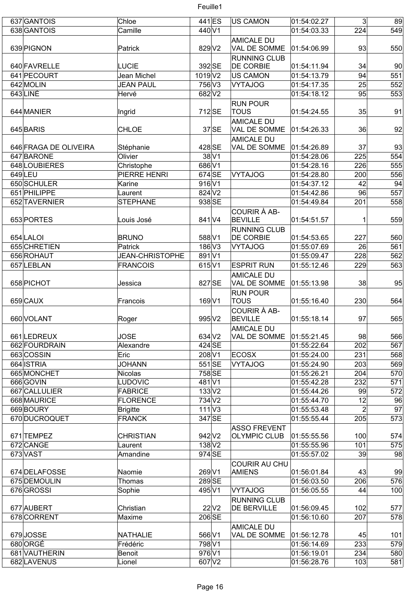| 637 GANTOIS           | Chloe                  | 441 ES                    | US CAMON                          | 01:54:02.27 | 3 <sup>2</sup> | 89  |
|-----------------------|------------------------|---------------------------|-----------------------------------|-------------|----------------|-----|
| 638 GANTOIS           | Camille                | 440 V1                    |                                   | 01:54:03.33 | 224            | 549 |
| 639 PIGNON            | Patrick                | 829 V2                    | <b>AMICALE DU</b><br>VAL DE SOMME | 01:54:06.99 | 93             | 550 |
|                       |                        |                           | <b>RUNNING CLUB</b>               |             |                |     |
| 640 FAVRELLE          | <b>LUCIE</b>           | 392 SE                    | <b>DE CORBIE</b>                  | 01:54:11.94 | 34             | 90  |
| 641 PECOURT           | Jean Michel            | 1019 V2                   | US CAMON                          | 01:54:13.79 | 94             | 551 |
| 642 MOLIN             | <b>JEAN PAUL</b>       | 756 V3                    | VYTAJOG                           | 01:54:17.35 | 25             | 552 |
| 643LINÉ               | Hervé                  | 682 V2                    |                                   | 01:54:18.12 | 95             | 553 |
|                       |                        |                           | <b>RUN POUR</b>                   |             |                |     |
| 644 MANIER            | Ingrid                 | 712SE                     | <b>TOUS</b>                       | 01:54:24.55 | 35             | 91  |
|                       |                        |                           | <b>AMICALE DU</b>                 |             |                |     |
| 645 BARIS             | <b>CHLOE</b>           | $37$ SE                   | <b>VAL DE SOMME</b>               | 01:54:26.33 | 36             | 92  |
| 646 FRAGA DE OLIVEIRA |                        | 428 SE                    | <b>AMICALE DU</b><br>VAL DE SOMME | 01:54:26.89 | 37             | 93  |
| 647 BARONE            | Stéphanie<br>Olivier   | $38\vert\sqrt{1}$         |                                   | 01:54:28.06 | 225            | 554 |
| 648 LOUBIERES         | Christophe             | 686 V1                    |                                   | 01:54:28.16 | 226            | 555 |
| 649LEU                | PIERRE HENRI           | 674 SE                    | <b>VYTAJOG</b>                    | 01:54:28.80 | 200            | 556 |
| 650 SCHULER           | Karine                 | $916$ V1                  |                                   | 01:54:37.12 | 42             | 94  |
| 651 PHILIPPE          | Laurent                | 824 V <sub>2</sub>        |                                   | 01:54:42.86 | 96             | 557 |
| 652 TAVERNIER         | <b>STEPHANE</b>        | 938 SE                    |                                   | 01:54:49.84 | 201            | 558 |
|                       |                        |                           | COURIR À AB-                      |             |                |     |
| 653 PORTES            | Louis José             | 841 V4                    | <b>BEVILLE</b>                    | 01:54:51.57 | 1              | 559 |
|                       |                        |                           | <b>RUNNING CLUB</b>               |             |                |     |
| 654 LALOI             | <b>BRUNO</b>           | 588 V1                    | <b>DE CORBIE</b>                  | 01:54:53.65 | 227            | 560 |
| 655 CHRETIEN          | Patrick                | $186$ V3                  | <b>VYTAJOG</b>                    | 01:55:07.69 | 26             | 561 |
| 656 ROHAUT            | <b>JEAN-CHRISTOPHE</b> | 891 V1                    |                                   | 01:55:09.47 | 228            | 562 |
| 657 LEBLAN            | <b>FRANCOIS</b>        | $615$ V1                  | <b>ESPRIT RUN</b>                 | 01:55:12.46 | 229            | 563 |
|                       |                        |                           | <b>AMICALE DU</b>                 |             |                |     |
| 658 PICHOT            | Jessica                | 827 SE                    | <b>VAL DE SOMME</b>               | 01:55:13.98 | 38             | 95  |
|                       |                        |                           | <b>RUN POUR</b>                   |             |                |     |
| 659 CAUX              | Francois               | 169 V1                    | TOUS                              | 01:55:16.40 | 230            | 564 |
|                       |                        |                           | COURIR À AB-                      |             |                |     |
| 660 VOLANT            | Roger                  | 995 V2                    | <b>BEVILLE</b>                    | 01:55:18.14 | 97             | 565 |
| 661 LEDREUX           | <b>JOSE</b>            | 634 V2                    | AMICALE DU<br><b>VAL DE SOMME</b> | 01:55:21.45 | 98             | 566 |
| 662 FOURDRAIN         | Alexandre              | 424 SE                    |                                   | 01:55:22.64 | 202            | 567 |
| 663 COSSIN            | Eric                   | 208 V1                    | <b>ECOSX</b>                      | 01:55:24.00 | 231            | 568 |
| 664 ISTRIA            | <b>JOHANN</b>          | 551SE                     | VYTAJOG                           | 01:55:24.90 | 203            | 569 |
| 665 MONCHET           | Nicolas                | 758SE                     |                                   | 01:55:26.21 | 204            | 570 |
| 666 GOVIN             | <b>LUDOVIC</b>         | 481 <sub>V1</sub>         |                                   | 01:55:42.28 | 232            | 571 |
| 667 CALLULIER         | <b>FABRICE</b>         | $133\text{V}2$            |                                   | 01:55:44.26 | 99             | 572 |
| 668 MAURICE           | <b>FLORENCE</b>        | 734 V <sub>2</sub>        |                                   | 01:55:44.70 | 12             | 96  |
| 669BOURY              | <b>Brigitte</b>        | $111\overline{\text{V3}}$ |                                   | 01:55:53.48 | $\overline{2}$ | 97  |
| 670 DUCROQUET         | <b>FRANCK</b>          | 347 SE                    |                                   | 01:55:55.44 | 205            | 573 |
|                       |                        |                           | <b>ASSO FREVENT</b>               |             |                |     |
| 671 TEMPEZ            | <b>CHRISTIAN</b>       | 942 V <sub>2</sub>        | <b>OLYMPIC CLUB</b>               | 01:55:55.56 | 100            | 574 |
| 672 CANGE             | Laurent                | $138$ $V2$                |                                   | 01:55:55.96 | 101            | 575 |
| 673 VAST              | Amandine               | 974 SE                    |                                   | 01:55:57.02 | 39             | 98  |
|                       |                        |                           | <b>COURIR AU CHU</b>              |             |                |     |
| 674 DELAFOSSE         | Naomie                 | 269 V1                    | <b>AMIENS</b>                     | 01:56:01.84 | 43             | 99  |
| 675 DEMOULIN          | Thomas                 | 289 SE                    |                                   | 01:56:03.50 | 206            | 576 |
| 676 GROSSI            | Sophie                 | 495 V1                    | <b>VYTAJOG</b>                    | 01:56:05.55 | 44             | 100 |
|                       |                        |                           | <b>RUNNING CLUB</b>               |             |                |     |
| 677 AUBERT            | Christian              | 22 V2                     | <b>DE BERVILLE</b>                | 01:56:09.45 | 102            | 577 |
| 678 CORRENT           | Maxime                 | 206 SE                    |                                   | 01:56:10.60 | 207            | 578 |
|                       |                        |                           | <b>AMICALE DU</b>                 |             |                |     |
| 679JOSSE              | <b>NATHALIE</b>        | 566 V1                    | VAL DE SOMME                      | 01:56:12.78 | 45             | 101 |
| 680ORGÉ               | Frédéric               | 798 V1                    |                                   | 01:56:14.69 | 233            | 579 |
| 681 VAUTHERIN         | Benoit                 | 976 V1                    |                                   | 01:56:19.01 | 234            | 580 |
| 682 LAVENUS           | Lionel                 | 607 V2                    |                                   | 01:56:28.76 | 103            | 581 |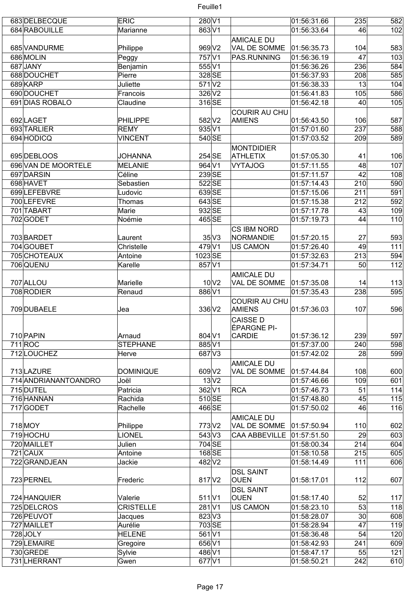| 683 DELBECQUE        | <b>ERIC</b>      | 280 V1               |                      | 01:56:31.66 | 235 | 582 |
|----------------------|------------------|----------------------|----------------------|-------------|-----|-----|
| 684 RABOUILLE        | Marianne         | 863 V1               |                      | 01:56:33.64 | 46  | 102 |
|                      |                  |                      | <b>AMICALE DU</b>    |             |     |     |
| 685 VANDURME         | Philippe         | 969 V2               | VAL DE SOMME         | 01:56:35.73 | 104 | 583 |
| 686 MOLIN            | Peggy            | 757 <sub>V1</sub>    | PAS.RUNNING          | 01:56:36.19 | 47  | 103 |
| 687JANY              |                  | 555 V1               |                      | 01:56:36.26 | 236 | 584 |
|                      | Benjamin         |                      |                      |             |     |     |
| 688 DOUCHET          | Pierre           | 328 SE               |                      | 01:56:37.93 | 208 | 585 |
| 689KARP              | Juliette         | $571$ $V2$           |                      | 01:56:38.33 | 13  | 104 |
| 690 DOUCHET          | Francois         | $326$ V <sub>2</sub> |                      | 01:56:41.83 | 105 | 586 |
| 691 DIAS ROBALO      | Claudine         | 316SE                |                      | 01:56:42.18 | 40  | 105 |
|                      |                  |                      | <b>COURIR AU CHU</b> |             |     |     |
| 692LAGET             | PHILIPPE         | 582 V2               | <b>AMIENS</b>        | 01:56:43.50 | 106 | 587 |
|                      |                  |                      |                      |             |     |     |
| 693 TARLIER          | <b>REMY</b>      | 935 V1               |                      | 01:57:01.60 | 237 | 588 |
| 694 HODICQ           | <b>VINCENT</b>   | 540 SE               |                      | 01:57:03.52 | 209 | 589 |
|                      |                  |                      | <b>MONTDIDIER</b>    |             |     |     |
| 695 DEBLOOS          | <b>JOHANNA</b>   | 254 SE               | <b>ATHLETIX</b>      | 01:57:05.30 | 41  | 106 |
| 696 VAN DE MOORTELE  | <b>MELANIE</b>   | 964 V1               | <b>VYTAJOG</b>       | 01:57:11.55 | 48  | 107 |
| 697 DARSIN           | Céline           | 239SE                |                      | 01:57:11.57 | 42  | 108 |
|                      |                  |                      |                      |             |     |     |
| 698 HAVET            | Sebastien        | 522SE                |                      | 01:57:14.43 | 210 | 590 |
| 699LEFEBVRE          | Ludovic          | 639 SE               |                      | 01:57:15.06 | 211 | 591 |
| 700 LEFEVRE          | Thomas           | 643 SE               |                      | 01:57:15.38 | 212 | 592 |
| 701 TABART           | Marie            | 932 SE               |                      | 01:57:17.78 | 43  | 109 |
| 702 GODET            | Noémie           | 465 SE               |                      | 01:57:19.73 | 44  | 110 |
|                      |                  |                      |                      |             |     |     |
|                      |                  |                      | CS IBM NORD          |             |     |     |
| 703 BARDET           | Laurent          | $35\text{V}3$        | NORMANDIE            | 01:57:20.15 | 27  | 593 |
| 704 GOUBET           | Christelle       | 479 V1               | <b>US CAMON</b>      | 01:57:26.40 | 49  | 111 |
| 705 CHOTEAUX         | Antoine          | 1023SE               |                      | 01:57:32.63 | 213 | 594 |
| 706 QUENU            | Karelle          | 857 V1               |                      | 01:57:34.71 | 50  | 112 |
|                      |                  |                      | <b>AMICALE DU</b>    |             |     |     |
|                      |                  | $10\text{V}2$        |                      |             |     |     |
| 707 ALLOU            | Marielle         |                      | VAL DE SOMME         | 01:57:35.08 | 14  | 113 |
| 708 RODIER           | Renaud           | 886 V1               |                      | 01:57:35.43 | 238 | 595 |
|                      |                  |                      | <b>COURIR AU CHU</b> |             |     |     |
| 709 DUBAELE          | Jea              | 336 V2               | AMIENS               | 01:57:36.03 | 107 | 596 |
|                      |                  |                      | <b>CAISSE D</b>      |             |     |     |
|                      |                  |                      | ÉPARGNE PI-          |             |     |     |
| 710 PAPIN            | Arnaud           | 804 V1               | CARDIE               | 01:57:36.12 | 239 | 597 |
|                      |                  |                      |                      |             |     |     |
| 711 ROC              | <b>STEPHANE</b>  | 885V1                |                      | 01:57:37.00 | 240 | 598 |
| 712LOUCHEZ           | Herve            | 687 V3               |                      | 01:57:42.02 | 28  | 599 |
|                      |                  |                      | <b>AMICALE DU</b>    |             |     |     |
| 713 LAZURE           | <b>DOMINIQUE</b> | 609 V2               | VAL DE SOMME         | 01:57:44.84 | 108 | 600 |
| 714 ANDRIANANTOANDRO | Joël             | $13\text{V}2$        |                      | 01:57:46.66 | 109 | 601 |
| 715 DUTEL            | Patricia         | 362 V1               | RCA                  | 01:57:46.73 | 51  | 114 |
|                      |                  |                      |                      |             |     |     |
| 716 HANNAN           | Rachida          | $510$ SE             |                      | 01:57:48.80 | 45  | 115 |
| 717 GODET            | Rachelle         | 466 SE               |                      | 01:57:50.02 | 46  | 116 |
|                      |                  |                      | <b>AMICALE DU</b>    |             |     |     |
| 718 MOY              | Philippe         | 773 V <sub>2</sub>   | VAL DE SOMME         | 01:57:50.94 | 110 | 602 |
| 719 HOCHU            | <b>LIONEL</b>    | $543$ V3             | <b>CAA ABBEVILLE</b> | 01:57:51.50 | 29  | 603 |
| 720 MAILLET          | Julien           | 704 SE               |                      | 01:58:00.34 | 214 | 604 |
|                      |                  |                      |                      |             |     |     |
| $721$ CAUX           | Antoine          | 168SE                |                      | 01:58:10.58 | 215 | 605 |
| 722 GRANDJEAN        | Jackie           | 482 V2               |                      | 01:58:14.49 | 111 | 606 |
|                      |                  |                      | <b>DSL SAINT</b>     |             |     |     |
| 723 PERNEL           | Frederic         | 817 V2               | <b>OUEN</b>          | 01:58:17.01 | 112 | 607 |
|                      |                  |                      | <b>DSL SAINT</b>     |             |     |     |
|                      |                  |                      | <b>OUEN</b>          |             |     | 117 |
| 724 HANQUIER         | Valerie          | $511$ $V1$           |                      | 01:58:17.40 | 52  |     |
| 725 DELCROS          | <b>CRISTELLE</b> | 281 <sub>V1</sub>    | <b>US CAMON</b>      | 01:58:23.10 | 53  | 118 |
| 726 PEUVOT           | Jacques          | 823 V3               |                      | 01:58:28.07 | 30  | 608 |
| 727 MAILLET          | Aurélie          | 703 SE               |                      | 01:58:28.94 | 47  | 119 |
| 728JOLY              | <b>HELENE</b>    | 561 <sub>V1</sub>    |                      | 01:58:36.48 | 54  | 120 |
| 729 LEMAIRE          | Gregoire         | 656 V1               |                      | 01:58:42.93 | 241 | 609 |
|                      |                  |                      |                      |             |     |     |
| 730 GREDE            | Sylvie           | 486 V1               |                      | 01:58:47.17 | 55  | 121 |
| 731 LHERRANT         | Gwen             | 677 V1               |                      | 01:58:50.21 | 242 | 610 |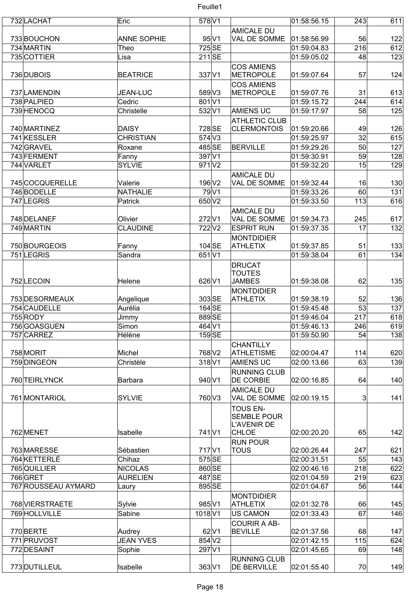| 732 LACHAT                | Eric               | 578 V1               |                                          | 01:58:56.15 | 243       | 611 |
|---------------------------|--------------------|----------------------|------------------------------------------|-------------|-----------|-----|
|                           |                    |                      |                                          |             |           |     |
|                           |                    | $95\vert\mathrm{V}1$ | <b>AMICALE DU</b><br>VAL DE SOMME        |             |           | 122 |
| 733BOUCHON                | <b>ANNE SOPHIE</b> | 725 SE               |                                          | 01:58:56.99 | 56<br>216 |     |
| 734 MARTIN<br>735 COTTIER | Theo               | 211SE                |                                          | 01:59:04.83 | 48        | 612 |
|                           | Lisa               |                      |                                          | 01:59:05.02 |           | 123 |
|                           |                    |                      | <b>COS AMIENS</b>                        |             |           |     |
| 736 DUBOIS                | <b>BEATRICE</b>    | 337 V1               | METROPOLE                                | 01:59:07.64 | 57        | 124 |
|                           |                    |                      | <b>COS AMIENS</b>                        |             |           |     |
| 737 LAMENDIN              | <b>JEAN-LUC</b>    | 589 V3               | METROPOLE                                | 01:59:07.76 | 31        | 613 |
| 738 PALPIED               | Cedric             | $\overline{801}$ V1  |                                          | 01:59:15.72 | 244       | 614 |
| 739 HENOCQ                | Christelle         | 532 V1               | <b>AMIENS UC</b>                         | 01:59:17.97 | 58        | 125 |
|                           |                    |                      | <b>ATHLETIC CLUB</b>                     |             |           |     |
| 740 MARTINEZ              | DAISY              | 728 SE               | <b>CLERMONTOIS</b>                       | 01:59:20.66 | 49        | 126 |
| 741 KESSLER               | <b>CHRISTIAN</b>   | 574 V3               |                                          | 01:59:25.97 | 32        | 615 |
| 742 GRAVEL                | Roxane             | 485SE                | <b>BERVILLE</b>                          | 01:59:29.26 | 50        | 127 |
| 743 FERMENT               | Fanny              | 397 V1               |                                          | 01:59:30.91 | 59        | 128 |
| 744 VARLET                | <b>SYLVIE</b>      | $971$ $V2$           |                                          | 01:59:32.20 | 15        | 129 |
|                           |                    |                      | <b>AMICALE DU</b>                        |             |           |     |
| 745 COCQUERELLE           | Valerie            | 196 V <sub>2</sub>   | VAL DE SOMME                             | 01:59:32.44 | 16        | 130 |
| 746BODELLE                | NATHALIE           | 79 V1                |                                          | 01:59:33.26 | 60        | 131 |
| 747 LEGRIS                | Patrick            | 650 V2               |                                          | 01:59:33.50 | 113       | 616 |
|                           |                    |                      | <b>AMICALE DU</b>                        |             |           |     |
| 748 DELANEF               | Olivier            | 272 V1               | VAL DE SOMME                             | 01:59:34.73 | 245       | 617 |
| 749 MARTIN                | <b>CLAUDINE</b>    | 722V2                | <b>ESPRIT RUN</b>                        | 01:59:37.35 | 17        | 132 |
|                           |                    |                      | <b>MONTDIDIER</b>                        |             |           |     |
| 750 BOURGEOIS             | Fanny              | $104$ SE             | <b>ATHLETIX</b>                          | 01:59:37.85 | 51        | 133 |
| 751 LEGRIS                | Sandra             | 651 V1               |                                          | 01:59:38.04 | 61        | 134 |
|                           |                    |                      | DRUCAT                                   |             |           |     |
|                           |                    |                      | <b>TOUTES</b>                            |             |           |     |
| 752 LECOIN                | Helene             | 626 V1               | <b>JAMBES</b>                            | 01:59:38.08 | 62        | 135 |
|                           |                    |                      | <b>MONTDIDIER</b>                        |             |           |     |
| 753 DESORMEAUX            | Angelique          | 303 SE               | <b>ATHLETIX</b>                          | 01:59:38.19 | 52        | 136 |
| 754 CAUDELLE              | Aurélia            | $164$ SE             |                                          | 01:59:45.48 | 53        | 137 |
| 755 RODY                  | Jimmy              | 889 SE               |                                          | 01:59:46.04 | 217       | 618 |
| 756GOASGUEN               | Simon              | 464 V1               |                                          | 01:59:46.13 | 246       | 619 |
| 757 CARREZ                | Hélène             | $159$ SE             |                                          | 01:59:50.90 | 54        | 138 |
|                           |                    |                      | <b>CHANTILLY</b>                         |             |           |     |
| 758 MORIT                 | Michel             | 768 V2               | <b>ATHLETISME</b>                        | 02:00:04.47 | 114       | 620 |
| 759 DINGEON               | Christèle          | $318$ <sub>V1</sub>  | <b>AMIENS UC</b>                         | 02:00:13.66 | 63        | 139 |
|                           |                    |                      | <b>RUNNING CLUB</b>                      |             |           |     |
| 760 TEIRLYNCK             | Barbara            | 940 V1               | <b>DE CORBIE</b>                         | 02:00:16.85 | 64        | 140 |
|                           |                    |                      | <b>AMICALE DU</b>                        |             |           |     |
| 761 MONTARIOL             | <b>SYLVIE</b>      | 760 V3               | VAL DE SOMME                             | 02:00:19.15 | 3         | 141 |
|                           |                    |                      |                                          |             |           |     |
|                           |                    |                      | <b>TOUS EN-</b>                          |             |           |     |
|                           |                    |                      | <b>SEMBLE POUR</b><br><b>L'AVENIR DE</b> |             |           |     |
| 762 MENET                 | Isabelle           | 741 <sub>V1</sub>    | <b>CHLOE</b>                             | 02:00:20.20 | 65        | 142 |
|                           |                    |                      | <b>RUN POUR</b>                          |             |           |     |
| 763 MARESSE               | Sébastien          | 717 <sub>V1</sub>    | <b>TOUS</b>                              | 02:00:26.44 | 247       | 621 |
| 764 KETTERLÉ              | Chihaz             | 575 SE               |                                          | 02:00:31.51 | 55        | 143 |
| 765 QUILLIER              | <b>NICOLAS</b>     | 860 SE               |                                          | 02:00:46.16 | 218       | 622 |
| 766 GRET                  | <b>AURELIEN</b>    | 487 SE               |                                          | 02:01:04.59 | 219       | 623 |
| 767 ROUSSEAU AYMARD       |                    | 895 SE               |                                          | 02:01:04.67 | 56        | 144 |
|                           | Laury              |                      |                                          |             |           |     |
| 768 VIERSTRAETE           | Sylvie             | 985 V1               | <b>MONTDIDIER</b><br><b>ATHLETIX</b>     | 02:01:32.78 | 66        | 145 |
|                           |                    |                      |                                          |             |           |     |
| 769 HOLLVILLE             | Sabine             | 1018 <sub>V1</sub>   | <b>US CAMON</b>                          | 02:01:33.43 | 67        | 146 |
|                           |                    |                      | <b>COURIR A AB-</b>                      |             |           |     |
| 770 BERTE                 | Audrey             | $62$ V1              | <b>BEVILLE</b>                           | 02:01:37.56 | 68        | 147 |
| 771 PRUVOST               | <b>JEAN YVES</b>   | 854 V2               |                                          | 02:01:42.15 | 115       | 624 |
| 772 DESAINT               | Sophie             | 297V1                |                                          | 02:01:45.65 | 69        | 148 |
|                           |                    |                      | <b>RUNNING CLUB</b>                      |             |           |     |
| 773 DUTILLEUL             | Isabelle           | 363 V1               | <b>DE BERVILLE</b>                       | 02:01:55.40 | 70        | 149 |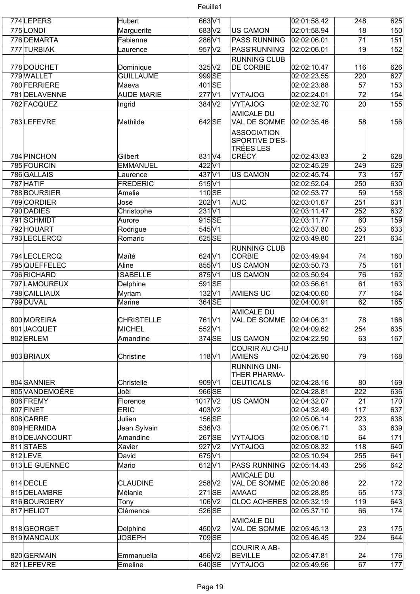| 774 LEPERS     | Hubert            | $663$ <sub>V1</sub>  |                                       | 02:01:58.42 | 248              | 625 |
|----------------|-------------------|----------------------|---------------------------------------|-------------|------------------|-----|
| 775LONDI       | Marguerite        | 683 V2               | <b>US CAMON</b>                       | 02:01:58.94 | 18               | 150 |
| 776 DEMARTA    | Fabienne          | 286 V1               | <b>PASS RUNNING</b>                   | 02:02:06.01 | 71               | 151 |
| 777 TURBIAK    | Laurence          | $957$ V2             | PASS'RUNNING                          | 02:02:06.01 | 19               | 152 |
|                |                   |                      | <b>RUNNING CLUB</b>                   |             |                  |     |
| 778 DOUCHET    | Dominique         | 325 V2               | <b>DE CORBIE</b>                      | 02:02:10.47 | 116              | 626 |
| 779 WALLET     | <b>GUILLAUME</b>  | 999 <sub>SE</sub>    |                                       | 02:02:23.55 | 220              | 627 |
| 780 FERRIERE   | Maeva             | 401SE                |                                       | 02:02:23.88 | 57               | 153 |
| 781 DELAVENNE  | <b>AUDE MARIE</b> | 277 V1               | <b>VYTAJOG</b>                        | 02:02:24.01 | 72               | 154 |
| 782 FACQUEZ    | Ingrid            | 384 V <sub>2</sub>   | <b>VYTAJOG</b>                        | 02:02:32.70 | 20               | 155 |
|                |                   |                      | <b>AMICALE DU</b>                     |             |                  |     |
| 783LEFEVRE     | Mathilde          | 642 SE               | VAL DE SOMME                          | 02:02:35.46 | 58               | 156 |
|                |                   |                      | <b>ASSOCIATION</b>                    |             |                  |     |
|                |                   |                      | SPORTIVE D'ES-                        |             |                  |     |
|                |                   |                      | TRÉES LES                             |             |                  |     |
| 784 PINCHON    | Gilbert           | 831 <sub>V4</sub>    | <b>CRÉCY</b>                          | 02:02:43.83 | $\overline{2}$   | 628 |
| 785 FOURCIN    | <b>EMMANUEL</b>   | 422 V1               |                                       | 02:02:45.29 | 249              | 629 |
| 786 GALLAIS    | Laurence          | 437 V1               | <b>US CAMON</b>                       | 02:02:45.74 | 73               | 157 |
| 787 HATIF      | <b>FREDERIC</b>   | $515$ V1             |                                       | 02:02:52.04 | 250              | 630 |
| 788BOURSIER    | Amelie            | $110$ SE             |                                       | 02:02:53.77 | 59               | 158 |
| 789 CORDIER    | José              | 202V1                | AUC                                   | 02:03:01.67 | 251              | 631 |
| 790 DADIES     | Christophe        | $231$ V1             |                                       | 02:03:11.47 | 252              | 632 |
| 791 SCHMIDT    | Aurore            | 915SE                |                                       | 02:03:11.77 | 60               | 159 |
| 792 HOUART     | Rodrigue          | 545 V1               |                                       | 02:03:37.80 | 253              | 633 |
| 793LECLERCQ    | Romaric           | 625 SE               |                                       | 02:03:49.80 | 221              | 634 |
|                |                   |                      | <b>RUNNING CLUB</b>                   |             |                  |     |
| 794 LECLERCQ   | Maïté             | $624$ V1             | CORBIE                                | 02:03:49.94 | 74               | 160 |
| 795 QUEFFELEC  | Aline             | 855 V1               | <b>US CAMON</b>                       | 02:03:50.73 | 75               | 161 |
| 796 RICHARD    | <b>ISABELLE</b>   | 875 V1               | <b>US CAMON</b>                       | 02:03:50.94 | 76               | 162 |
| 797 LAMOUREUX  | Delphine          | 591SE                |                                       | 02:03:56.61 | 61               | 163 |
| 798 CAILLIAUX  | Myriam            | $132$ V1             | <b>AMIENS UC</b>                      | 02:04:00.60 | 77               | 164 |
| 799 DUVAL      | Marine            | 364 SE               |                                       | 02:04:00.91 | 62               | 165 |
|                |                   |                      | <b>AMICALE DU</b>                     |             |                  |     |
| 800 MOREIRA    | <b>CHRISTELLE</b> | 761 <sub>V1</sub>    | VAL DE SOMME                          | 02:04:06.31 | 78               | 166 |
| 801JACQUET     | <b>MICHEL</b>     | 552V1                |                                       | 02:04:09.62 | $\overline{254}$ | 635 |
| 802 ERLEM      | Amandine          | 374 SE               |                                       | 02:04:22.90 | 63               | 167 |
|                |                   |                      | US CAMON                              |             |                  |     |
| 803 BRIAUX     |                   | $118$ V1             | <b>COURIR AU CHU</b><br><b>AMIENS</b> | 02:04:26.90 | 79               | 168 |
|                | Christine         |                      |                                       |             |                  |     |
|                |                   |                      | <b>RUNNING UNI-</b>                   |             |                  |     |
| 804 SANNIER    | Christelle        | 909 V1               | THER PHARMA-<br><b>CEUTICALS</b>      | 02:04:28.16 | 80 <sup>°</sup>  | 169 |
| 805 VANDEMOËRE | Joël              | 966 SE               |                                       | 02:04:28.81 | 222              | 636 |
|                |                   |                      |                                       |             |                  |     |
| 806 FREMY      | Florence          | 1017 V2              | <b>US CAMON</b>                       | 02:04:32.07 | 21               | 170 |
| 807 FINET      | <b>ERIC</b>       | 403 V2               |                                       | 02:04:32.49 | 117              | 637 |
| 808 CARRE      | Julien            | 156 SE               |                                       | 02:05:06.14 | 223              | 638 |
| 809 HERMIDA    | Jean Sylvain      | 536 V3               |                                       | 02:05:06.71 | 33               | 639 |
| 810 DEJANCOURT | Amandine          | 267 SE               | <b>VYTAJOG</b>                        | 02:05:08.10 | 64               | 171 |
| 811STAES       | Xavier            | 927 V2               | <b>VYTAJOG</b>                        | 02:05:08.32 | 118              | 640 |
| 812LEVE        | David             | $675$ V1             |                                       | 02:05:10.94 | 255              | 641 |
| 813LE GUENNEC  | Mario             | 612 V1               | <b>PASS RUNNING</b>                   | 02:05:14.43 | 256              | 642 |
|                |                   |                      | <b>AMICALE DU</b>                     |             |                  |     |
| 814 DECLE      | <b>CLAUDINE</b>   | 258 V2               | VAL DE SOMME                          | 02:05:20.86 | 22               | 172 |
| 815 DELAMBRE   | Mélanie           | $271$ SE             | AMAAC                                 | 02:05:28.85 | 65               | 173 |
| 816BOURGERY    | Tony              | $106$ V <sub>2</sub> | <b>CLOC ACHERES</b>                   | 02:05:32.19 | 119              | 643 |
| 817 HELIOT     | Clémence          | 526 SE               |                                       | 02:05:37.10 | 66               | 174 |
|                |                   |                      | <b>AMICALE DU</b>                     |             |                  |     |
| 818 GEORGET    | Delphine          | 450 V2               | VAL DE SOMME                          | 02:05:45.13 | 23               | 175 |
| 819 MANCAUX    | <b>JOSEPH</b>     | 709 SE               |                                       | 02:05:46.45 | 224              | 644 |
|                |                   |                      | <b>COURIR A AB-</b>                   |             |                  |     |
| 820 GERMAIN    | Emmanuella        | 456 V2               | <b>BEVILLE</b>                        | 02:05:47.81 | 24               | 176 |
| 821 LEFEVRE    | Emeline           | 640 SE               | <b>VYTAJOG</b>                        | 02:05:49.96 | 67               | 177 |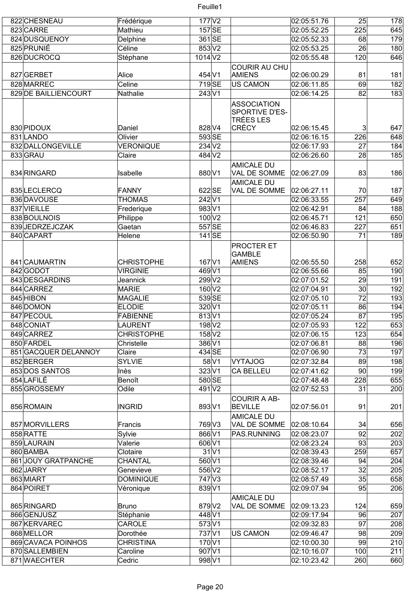| 822 CHESNEAU         | Frédérique        | $177$ $V2$                   |           |                                                                   | 02:05:51.76 | 25              | 178 |
|----------------------|-------------------|------------------------------|-----------|-------------------------------------------------------------------|-------------|-----------------|-----|
| 823 CARRE            | Mathieu           |                              | $157$ SE  |                                                                   | 02:05:52.25 | 225             | 645 |
| 824 DUSQUENOY        | Delphine          | 361 SE                       |           |                                                                   | 02:05:52.33 | 68              | 179 |
| 825 PRUNIÉ           | Céline            | $853 \sqrt{2}$               |           |                                                                   | 02:05:53.25 | 26              | 180 |
| 826DUCROCQ           | Stéphane          | 1014 <sub>V2</sub>           |           |                                                                   | 02:05:55.48 | 120             | 646 |
|                      |                   |                              |           | <b>COURIR AU CHU</b>                                              |             |                 |     |
| 827 GERBET           | Alice             | 454 V1                       |           | AMIENS                                                            | 02:06:00.29 | 81              | 181 |
| 828 MARREC           | Celine            | 719SE                        |           | <b>US CAMON</b>                                                   | 02:06:11.85 | 69              | 182 |
| 829 DE BAILLIENCOURT | Nathalie          | $243$ V1                     |           |                                                                   | 02:06:14.25 | 82              | 183 |
| 830 PIDOUX           | Daniel            | 828 V4                       |           | <b>ASSOCIATION</b><br>SPORTIVE D'ES-<br>TRÉES LES<br><b>CRÉCY</b> | 02:06:15.45 | $\mathbf{3}$    | 647 |
| 831 LANDO            | Olivier           | $593$ SE                     |           |                                                                   | 02:06:16.15 | 226             | 648 |
| 832 DALLONGEVILLE    | <b>VERONIQUE</b>  | 234 V <sub>2</sub>           |           |                                                                   | 02:06:17.93 | 27              | 184 |
| 833 GRAU             | Claire            | 484 V2                       |           |                                                                   | 02:06:26.60 | 28              | 185 |
| 834 RINGARD          | Isabelle          | 880 V1                       |           | <b>AMICALE DU</b><br>VAL DE SOMME                                 | 02:06:27.09 | 83              | 186 |
| 835LECLERCQ          | FANNY             | 622 SE                       |           | <b>AMICALE DU</b><br>VAL DE SOMME                                 | 02:06:27.11 | 70              | 187 |
| 836 DAVOUSE          | <b>THOMAS</b>     | 242 V1                       |           |                                                                   | 02:06:33.55 | 257             | 649 |
| 837 VIEILLE          | Frederique        | 983V1                        |           |                                                                   | 02:06:42.91 | 84              | 188 |
| 838BOULNOIS          | Philippe          | 100 V2                       |           |                                                                   | 02:06:45.71 | 121             | 650 |
| 839JEDRZEJCZAK       | Gaetan            | 557 SE                       |           |                                                                   | 02:06:46.83 | 227             | 651 |
| 840 CAPART           | Helene            |                              | $141$ SE  |                                                                   | 02:06:50.90 | 71              | 189 |
|                      |                   |                              |           | <b>PROCTER ET</b><br><b>GAMBLE</b>                                |             |                 |     |
| 841 CAUMARTIN        | <b>CHRISTOPHE</b> | 167 V1                       |           | AMIENS                                                            | 02:06:55.50 | 258             | 652 |
| 842 GODOT            | <b>VIRGINIE</b>   | 469 V1                       |           |                                                                   | 02:06:55.66 | 85              | 190 |
| 843 DESGARDINS       | Jeannick          | 299 V2                       |           |                                                                   | 02:07:01.52 | 29              | 191 |
| 844 CARREZ           | <b>MARIE</b>      | 160V2                        |           |                                                                   | 02:07:04.91 | $\overline{30}$ | 192 |
| 845 HIBON            | <b>MAGALIE</b>    |                              | 539 SE    |                                                                   | 02:07:05.10 | 72              | 193 |
| 846 DOMON            | <b>ELODIE</b>     | 320V1                        |           |                                                                   | 02:07:05.11 | 86              | 194 |
| 847 PECOUL           | FABIENNE          | 813 V1                       |           |                                                                   | 02:07:05.24 | 87              | 195 |
| 848 CONIAT           | LAURENT           | 198 V <sub>2</sub>           |           |                                                                   | 02:07:05.93 | 122             | 653 |
| 849 CARREZ           | <b>CHRISTOPHE</b> | 158 V2                       |           |                                                                   | 02:07:06.15 | 123             | 654 |
| 850 FARDEL           | Christelle        | 386 V1                       |           |                                                                   | 02:07:06.81 | 88              | 196 |
| 851 GACQUER DELANNOY | Claire            | 434 SE                       |           |                                                                   | 02:07:06.90 | 73              | 197 |
| 852BERGER            | <b>SYLVIE</b>     |                              | 58 V1     | VYTAJOG                                                           | 02:07:32.84 | 89              | 198 |
| 853 DOS SANTOS       | Inès              | 323 <sub>V1</sub>            |           | <b>CA BELLEU</b>                                                  | 02:07:41.62 | 90              | 199 |
| 854 LAFILE           | Benoît            | 580 SE                       |           |                                                                   | 02:07:48.48 | 228             | 655 |
| 855 GROSSEMY         | Odile             | 491 V2                       |           |                                                                   | 02:07:52.53 | 31              | 200 |
| 856 ROMAIN           | <b>INGRID</b>     | 893 V1                       |           | <b>COURIR A AB-</b><br><b>BEVILLE</b><br><b>AMICALE DU</b>        | 02:07:56.01 | 91              | 201 |
| 857 MORVILLERS       | Francis           | 769 V3                       |           | VAL DE SOMME                                                      | 02:08:10.64 | 34              | 656 |
| 858 RATTE            | Sylvie            | 866 V1                       |           | PAS.RUNNING                                                       | 02:08:23.07 | 92              | 202 |
| 859 LAURAIN          | Valerie           | 606 V1                       |           |                                                                   | 02:08:23.24 | 93              | 203 |
| 860 BAMBA            | Clotaire          |                              | $31$ $V1$ |                                                                   | 02:08:39.43 | 259             | 657 |
| 861 JOUY GRATPANCHE  | CHANTAL           | 560 V1                       |           |                                                                   | 02:08:39.46 | 94              | 204 |
| 862JARRY             | Genevieve         | 556 V2                       |           |                                                                   | 02:08:52.17 | 32              | 205 |
| 863 MIART            | <b>DOMINIQUE</b>  | 747 V3                       |           |                                                                   | 02:08:57.49 | 35              | 658 |
| 864 POIRET           | Véronique         | 839 V1                       |           |                                                                   | 02:09:07.94 | 95              | 206 |
| 865 RINGARD          | Bruno             | 879 V2                       |           | <b>AMICALE DU</b><br>VAL DE SOMME                                 | 02:09:13.23 | 124             | 659 |
| 866 GENJUSZ          | Stéphanie         | 448 V1                       |           |                                                                   | 02:09:17.94 | 96              | 207 |
| 867 KERVAREC         | CAROLE            | 573 V1                       |           |                                                                   | 02:09:32.83 | 97              | 208 |
| 868 MELLOR           | Dorothée          | 737 <sub>V1</sub>            |           | <b>US CAMON</b>                                                   | 02:09:46.47 | 98              | 209 |
| 869 CAVACA POINHOS   | <b>CHRISTINA</b>  | $170\overline{\mathrm{V}}$ 1 |           |                                                                   | 02:10:00.30 | 99              | 210 |
| 870 SALLEMBIEN       | Caroline          | 907 V1                       |           |                                                                   | 02:10:16.07 | 100             | 211 |
| 871 WAECHTER         | Cedric            | 998 V1                       |           |                                                                   | 02:10:23.42 | 260             | 660 |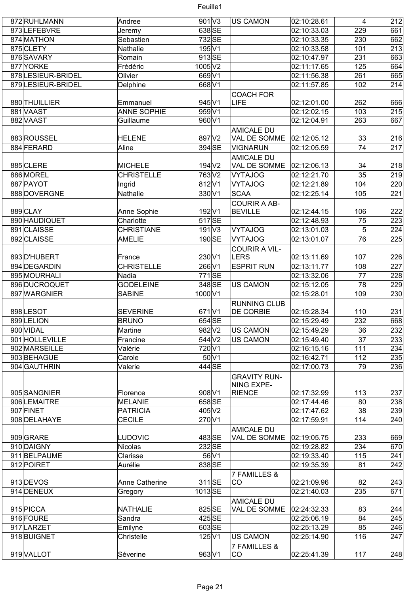

| 872 RUHLMANN       | Andree                | $901$ V3           |           | US CAMON                      | 02:10:28.61                | $\vert 4 \vert$ | 212 |
|--------------------|-----------------------|--------------------|-----------|-------------------------------|----------------------------|-----------------|-----|
| 873LEFEBVRE        | Jeremy                | 638 SE             |           |                               | 02:10:33.03                | 229             | 661 |
| 874 MATHON         | Sebastien             | 732 SE             |           |                               | 02:10:33.35                | 230             | 662 |
| 875 CLETY          | Nathalie              | 195 V1             |           |                               | 02:10:33.58                | 101             | 213 |
| 876 SAVARY         | Romain                | 913SE              |           |                               | 02:10:47.97                | 231             | 663 |
| 877 YORKE          | Frédéric              | 1005 V2            |           |                               | 02:11:17.65                | 125             | 664 |
| 878 LESIEUR-BRIDEL | Olivier               | 669 V1             |           |                               | 02:11:56.38                | 261             | 665 |
| 879 LESIEUR-BRIDEL | Delphine              | 668 V1             |           |                               | 02:11:57.85                | 102             | 214 |
|                    |                       |                    |           | <b>COACH FOR</b>              |                            |                 |     |
| 880 THUILLIER      | Emmanuel              | 945 V1             |           | <b>LIFE</b>                   | 02:12:01.00                | 262             | 666 |
| 881 VAAST          | <b>ANNE SOPHIE</b>    | 959V1              |           |                               | 02:12:02.15                | 103             | 215 |
| 882 VAAST          | Guillaume             | 960 V1             |           |                               | 02:12:04.91                | 263             | 667 |
|                    |                       |                    |           |                               |                            |                 |     |
|                    |                       |                    |           | <b>AMICALE DU</b>             |                            |                 |     |
| 883 ROUSSEL        | <b>HELENE</b>         | 897 V2             |           | VAL DE SOMME                  | 02:12:05.12                | 33              | 216 |
| 884 FERARD         | Aline                 | 394 SE             |           | <b>VIGNARUN</b>               | 02:12:05.59                | 74              | 217 |
|                    |                       |                    |           | <b>AMICALE DU</b>             |                            |                 |     |
| 885CLERE           | <b>MICHELE</b>        | 194 V <sub>2</sub> |           | VAL DE SOMME                  | 02:12:06.13                | 34              | 218 |
| 886 MOREL          | <b>CHRISTELLE</b>     | 763 V2             |           | <b>VYTAJOG</b>                | 02:12:21.70                | 35              | 219 |
| 887 PAYOT          | Ingrid                | 812V1              |           | <b>VYTAJOG</b>                | 02:12:21.89                | 104             | 220 |
| 888 DOVERGNE       | Nathalie              | 330 V1             |           | <b>SCAA</b>                   | 02:12:25.14                | 105             | 221 |
|                    |                       |                    |           | <b>COURIR A AB-</b>           |                            |                 |     |
| 889 CLAY           | Anne Sophie           | 192 V1             |           | <b>BEVILLE</b>                | 02:12:44.15                | 106             | 222 |
| 890 HAUDIQUET      | Charlotte             | 517 SE             |           |                               | 02:12:48.93                | 75              | 223 |
| 891 CLAISSE        | <b>CHRISTIANE</b>     | $191$ $V3$         |           | <b>VYTAJOG</b>                | 02:13:01.03                | 5 <sup>5</sup>  | 224 |
| 892 CLAISSE        | <b>AMELIE</b>         | 190SE              |           | <b>VYTAJOG</b>                | 02:13:01.07                | 76              | 225 |
|                    |                       |                    |           | <b>COURIR A VIL-</b>          |                            |                 |     |
| 893 D'HUBERT       | France                | 230 V1             |           | <b>LERS</b>                   | 02:13:11.69                | 107             | 226 |
| 894 DEGARDIN       | <b>CHRISTELLE</b>     | 266 V1             |           | <b>ESPRIT RUN</b>             | 02:13:11.77                | 108             | 227 |
| 895 MOURHALI       | Nadia                 | 771SE              |           |                               | 02:13:32.06                | 77              |     |
|                    |                       |                    |           |                               |                            |                 | 228 |
| 896 DUCROQUET      | <b>GODELEINE</b>      | 348 SE             |           | <b>US CAMON</b>               | 02:15:12.05                | 78              | 229 |
| 897 WARGNIER       | <b>SABINE</b>         | 1000 V1            |           |                               | 02:15:28.01                | 109             | 230 |
|                    |                       |                    |           | <b>RUNNING CLUB</b>           |                            |                 |     |
| 898LESOT           | <b>SEVERINE</b>       | $671$ V1           |           | <b>DE CORBIE</b>              | 02:15:28.34                | 110             | 231 |
| 899 LELION         | <b>BRUNO</b>          | 654 SE             |           |                               | 02:15:29.49                | 232             | 668 |
| 900 VIDAL          | Martine               | 982 V <sub>2</sub> |           | US CAMON                      | 02:15:49.29                | 36              | 232 |
| 901 HOLLEVILLE     | Francine              | 544 V2             |           | US CAMON                      | 02:15:49.40                | 37              | 233 |
| 902 MARSEILLE      | Valérie               | 720 V1             |           |                               | 02:16:15.16                | 111             | 234 |
| 903 BEHAGUE        | Carole                |                    | $50\,$ V1 |                               | 02:16:42.71                | 112             | 235 |
| 904 GAUTHRIN       | Valerie               | 444 SE             |           |                               | 02:17:00.73                | 79              | 236 |
|                    |                       |                    |           | <b>GRAVITY RUN-</b>           |                            |                 |     |
|                    |                       |                    |           | NING EXPE-                    |                            |                 |     |
| 905 SANGNIER       | Florence              | 908 V1             |           | <b>RIENCE</b>                 | 02:17:32.99                | 113             | 237 |
| 906 LEMAITRE       | <b>MELANIE</b>        | 658 SE             |           |                               | 02:17:44.46                | 80 <sup>2</sup> | 238 |
| 907 FINET          | <b>PATRICIA</b>       | 405 V2             |           |                               | 02:17:47.62                | 38              | 239 |
| 908 DELAHAYE       | <b>CECILE</b>         | 270 V1             |           |                               | 02:17:59.91                | 114             | 240 |
|                    |                       |                    |           | <b>AMICALE DU</b>             |                            |                 |     |
| 909 GRARE          | <b>LUDOVIC</b>        | 483 SE             |           | VAL DE SOMME                  | 02:19:05.75                | 233             | 669 |
| 910 DAIGNY         | <b>Nicolas</b>        | 232 SE             |           |                               | 02:19:28.82                | 234             | 670 |
| 911 BELPAUME       | Clarisse              |                    | 56 V1     |                               | 02:19:33.40                | 115             | 241 |
| 912 POIRET         | Aurélie               | 838 SE             |           |                               | 02:19:35.39                | 81              | 242 |
|                    |                       |                    |           | <b>7 FAMILLES &amp;</b>       |                            |                 |     |
| 913 DEVOS          | <b>Anne Catherine</b> | $311$ SE           |           | CO                            | 02:21:09.96                | 82              | 243 |
| 914 DENEUX         | Gregory               | 1013SE             |           |                               | 02:21:40.03                | 235             | 671 |
|                    |                       |                    |           |                               |                            |                 |     |
| 915 PICCA          | <b>NATHALIE</b>       | 825 SE             |           | <b>AMICALE DU</b>             | 02:24:32.33                | 83              |     |
|                    |                       |                    |           | VAL DE SOMME                  |                            |                 | 244 |
| 916 FOURE          | Sandra                | 425 SE             |           |                               | 02:25:06.19<br>02:25:13.29 | 84<br>85        | 245 |
|                    |                       |                    |           |                               |                            |                 | 246 |
| 917 LARZET         | Emilyne               | 603 SE             |           |                               |                            |                 |     |
| 918BUIGNET         | Christelle            | 125 V1             |           | <b>US CAMON</b>               | 02:25:14.90                | 116             | 247 |
| 919 VALLOT         | Séverine              | 963 V1             |           | <b>7 FAMILLES &amp;</b><br>CO | 02:25:41.39                | 117             | 248 |